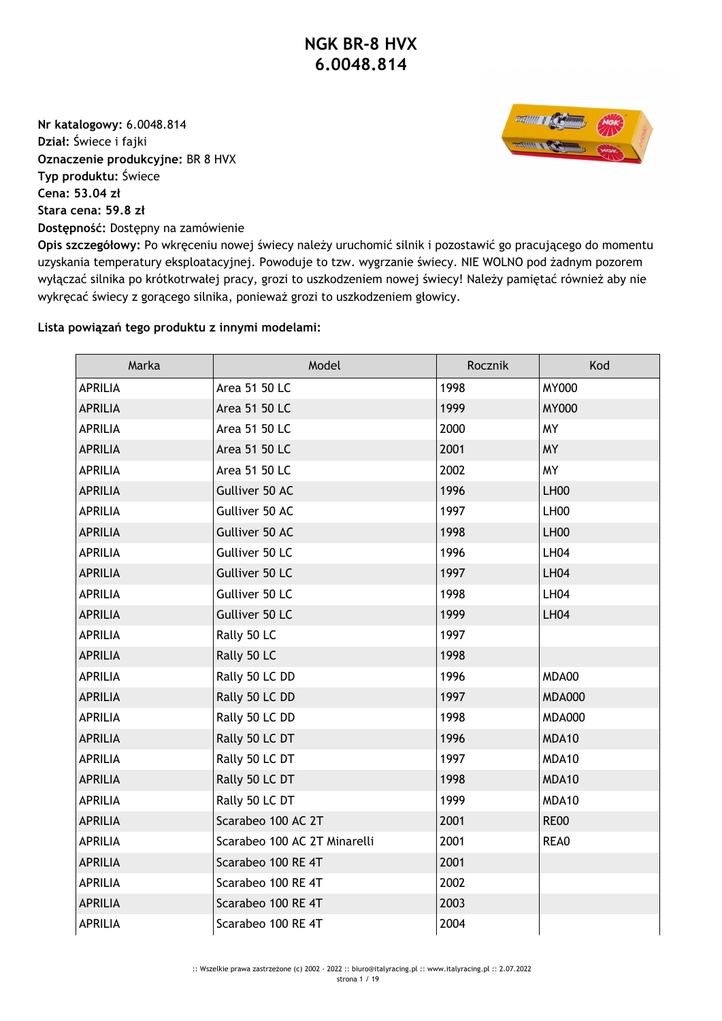**Nr katalogowy:** 6.0048.814 **Dział:** Świece i fajki **Oznaczenie produkcyjne:** BR 8 HVX **Typ produktu:** Świece **Cena: 53.04 zł Stara cena: 59.8 zł Dostępność:** Dostępny na zamówienie



**Opis szczegółowy:** Po wkręceniu nowej świecy należy uruchomić silnik i pozostawić go pracującego do momentu uzyskania temperatury eksploatacyjnej. Powoduje to tzw. wygrzanie świecy. NIE WOLNO pod żadnym pozorem wyłączać silnika po krótkotrwałej pracy, grozi to uszkodzeniem nowej świecy! Należy pamiętać również aby nie wykręcać świecy z gorącego silnika, ponieważ grozi to uszkodzeniem głowicy.

## **Lista powiązań tego produktu z innymi modelami:**

| Marka          | Model                        | Rocznik | Kod           |
|----------------|------------------------------|---------|---------------|
| <b>APRILIA</b> | Area 51 50 LC                | 1998    | <b>MY000</b>  |
| <b>APRILIA</b> | Area 51 50 LC                | 1999    | <b>MY000</b>  |
| <b>APRILIA</b> | Area 51 50 LC                | 2000    | <b>MY</b>     |
| <b>APRILIA</b> | Area 51 50 LC                | 2001    | <b>MY</b>     |
| <b>APRILIA</b> | Area 51 50 LC                | 2002    | <b>MY</b>     |
| <b>APRILIA</b> | Gulliver 50 AC               | 1996    | <b>LH00</b>   |
| <b>APRILIA</b> | Gulliver 50 AC               | 1997    | LH00          |
| <b>APRILIA</b> | Gulliver 50 AC               | 1998    | <b>LH00</b>   |
| <b>APRILIA</b> | Gulliver 50 LC               | 1996    | <b>LH04</b>   |
| <b>APRILIA</b> | Gulliver 50 LC               | 1997    | <b>LH04</b>   |
| <b>APRILIA</b> | Gulliver 50 LC               | 1998    | <b>LH04</b>   |
| <b>APRILIA</b> | Gulliver 50 LC               | 1999    | <b>LH04</b>   |
| <b>APRILIA</b> | Rally 50 LC                  | 1997    |               |
| <b>APRILIA</b> | Rally 50 LC                  | 1998    |               |
| <b>APRILIA</b> | Rally 50 LC DD               | 1996    | MDA00         |
| <b>APRILIA</b> | Rally 50 LC DD               | 1997    | <b>MDA000</b> |
| <b>APRILIA</b> | Rally 50 LC DD               | 1998    | <b>MDA000</b> |
| <b>APRILIA</b> | Rally 50 LC DT               | 1996    | MDA10         |
| APRILIA        | Rally 50 LC DT               | 1997    | MDA10         |
| <b>APRILIA</b> | Rally 50 LC DT               | 1998    | MDA10         |
| <b>APRILIA</b> | Rally 50 LC DT               | 1999    | MDA10         |
| <b>APRILIA</b> | Scarabeo 100 AC 2T           | 2001    | <b>RE00</b>   |
| <b>APRILIA</b> | Scarabeo 100 AC 2T Minarelli | 2001    | REA0          |
| <b>APRILIA</b> | Scarabeo 100 RE 4T           | 2001    |               |
| <b>APRILIA</b> | Scarabeo 100 RE 4T           | 2002    |               |
| <b>APRILIA</b> | Scarabeo 100 RE 4T           | 2003    |               |
| <b>APRILIA</b> | Scarabeo 100 RE 4T           | 2004    |               |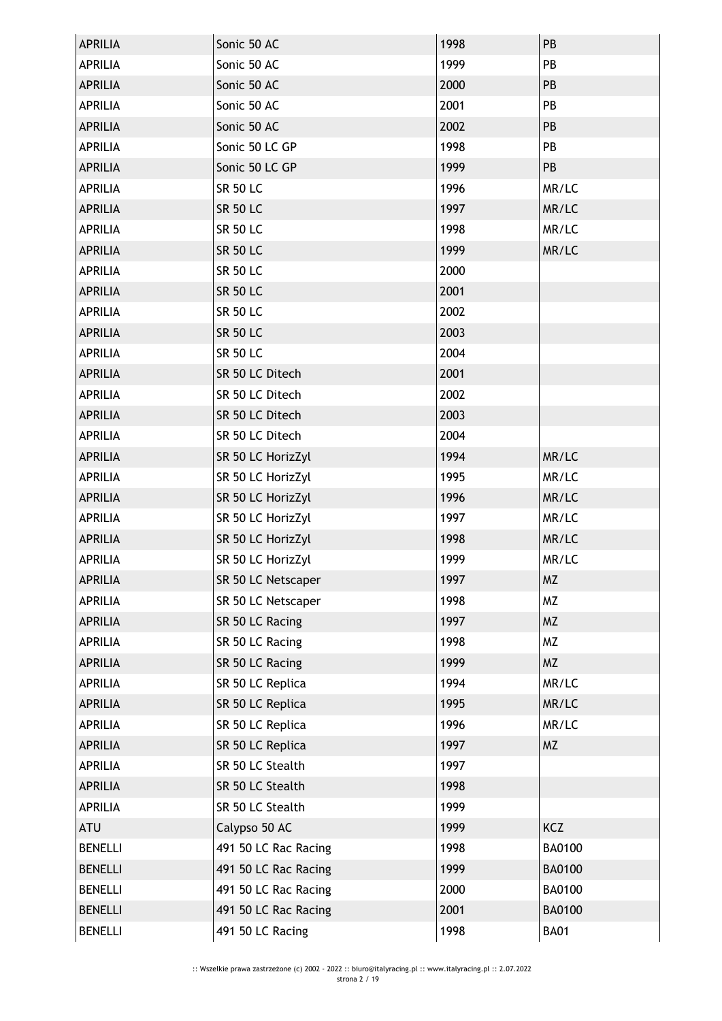| <b>APRILIA</b> | Sonic 50 AC          | 1998 | PB            |
|----------------|----------------------|------|---------------|
| <b>APRILIA</b> | Sonic 50 AC          | 1999 | PB            |
| <b>APRILIA</b> | Sonic 50 AC          | 2000 | PB            |
| <b>APRILIA</b> | Sonic 50 AC          | 2001 | PB            |
| <b>APRILIA</b> | Sonic 50 AC          | 2002 | PB            |
| <b>APRILIA</b> | Sonic 50 LC GP       | 1998 | PB            |
| <b>APRILIA</b> | Sonic 50 LC GP       | 1999 | PB            |
| <b>APRILIA</b> | <b>SR 50 LC</b>      | 1996 | MR/LC         |
| <b>APRILIA</b> | <b>SR 50 LC</b>      | 1997 | MR/LC         |
| <b>APRILIA</b> | <b>SR 50 LC</b>      | 1998 | MR/LC         |
| <b>APRILIA</b> | <b>SR 50 LC</b>      | 1999 | MR/LC         |
| <b>APRILIA</b> | <b>SR 50 LC</b>      | 2000 |               |
| <b>APRILIA</b> | <b>SR 50 LC</b>      | 2001 |               |
| <b>APRILIA</b> | <b>SR 50 LC</b>      | 2002 |               |
| <b>APRILIA</b> | <b>SR 50 LC</b>      | 2003 |               |
| <b>APRILIA</b> | <b>SR 50 LC</b>      | 2004 |               |
| <b>APRILIA</b> | SR 50 LC Ditech      | 2001 |               |
| <b>APRILIA</b> | SR 50 LC Ditech      | 2002 |               |
| <b>APRILIA</b> | SR 50 LC Ditech      | 2003 |               |
| <b>APRILIA</b> | SR 50 LC Ditech      | 2004 |               |
| <b>APRILIA</b> | SR 50 LC HorizZyl    | 1994 | MR/LC         |
| <b>APRILIA</b> | SR 50 LC HorizZyl    | 1995 | MR/LC         |
| <b>APRILIA</b> | SR 50 LC HorizZyl    | 1996 | MR/LC         |
| <b>APRILIA</b> | SR 50 LC HorizZyl    | 1997 | MR/LC         |
| <b>APRILIA</b> | SR 50 LC HorizZyl    | 1998 | MR/LC         |
| <b>APRILIA</b> | SR 50 LC HorizZyl    | 1999 | MR/LC         |
| <b>APRILIA</b> | SR 50 LC Netscaper   | 1997 | <b>MZ</b>     |
| <b>APRILIA</b> | SR 50 LC Netscaper   | 1998 | MZ            |
| <b>APRILIA</b> | SR 50 LC Racing      | 1997 | <b>MZ</b>     |
| <b>APRILIA</b> | SR 50 LC Racing      | 1998 | <b>MZ</b>     |
| <b>APRILIA</b> | SR 50 LC Racing      | 1999 | <b>MZ</b>     |
| <b>APRILIA</b> | SR 50 LC Replica     | 1994 | MR/LC         |
| <b>APRILIA</b> | SR 50 LC Replica     | 1995 | MR/LC         |
| <b>APRILIA</b> | SR 50 LC Replica     | 1996 | MR/LC         |
| <b>APRILIA</b> | SR 50 LC Replica     | 1997 | <b>MZ</b>     |
| <b>APRILIA</b> | SR 50 LC Stealth     | 1997 |               |
| <b>APRILIA</b> | SR 50 LC Stealth     | 1998 |               |
| <b>APRILIA</b> | SR 50 LC Stealth     | 1999 |               |
| <b>ATU</b>     | Calypso 50 AC        | 1999 | <b>KCZ</b>    |
| <b>BENELLI</b> | 491 50 LC Rac Racing | 1998 | <b>BA0100</b> |
| <b>BENELLI</b> | 491 50 LC Rac Racing | 1999 | <b>BA0100</b> |
| <b>BENELLI</b> | 491 50 LC Rac Racing | 2000 | <b>BA0100</b> |
| <b>BENELLI</b> | 491 50 LC Rac Racing | 2001 | <b>BA0100</b> |
| <b>BENELLI</b> | 491 50 LC Racing     | 1998 | <b>BA01</b>   |
|                |                      |      |               |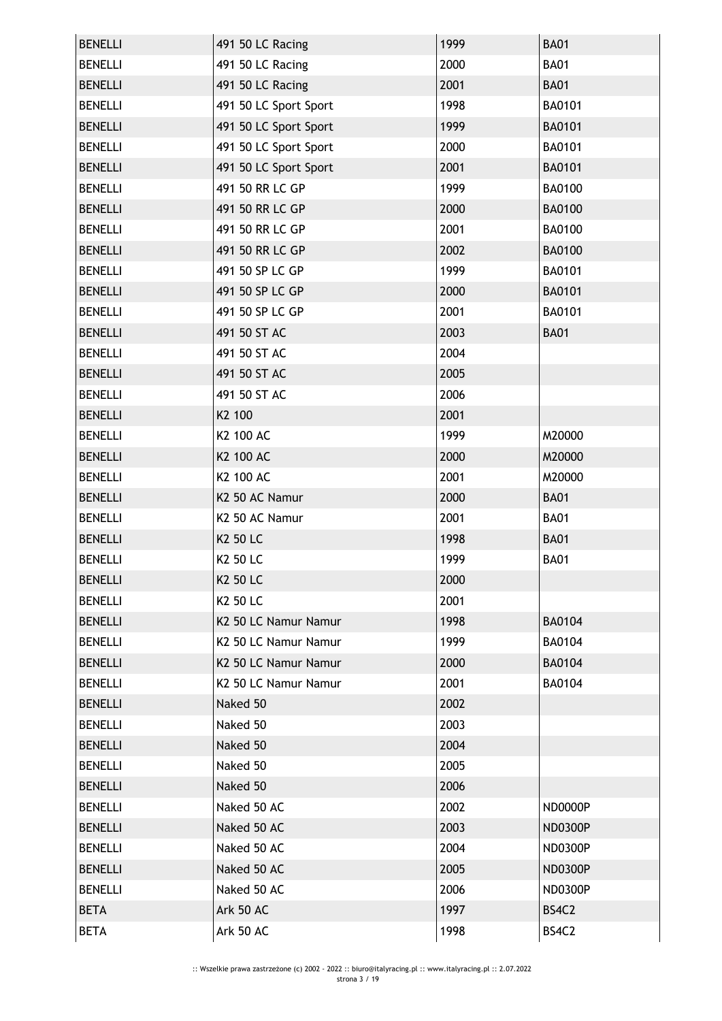| <b>BENELLI</b> | 491 50 LC Racing                 | 1999 | <b>BA01</b>    |
|----------------|----------------------------------|------|----------------|
| <b>BENELLI</b> | 491 50 LC Racing                 | 2000 | <b>BA01</b>    |
| <b>BENELLI</b> | 491 50 LC Racing                 | 2001 | <b>BA01</b>    |
| <b>BENELLI</b> | 491 50 LC Sport Sport            | 1998 | <b>BA0101</b>  |
| <b>BENELLI</b> | 491 50 LC Sport Sport            | 1999 | <b>BA0101</b>  |
| <b>BENELLI</b> | 491 50 LC Sport Sport            | 2000 | <b>BA0101</b>  |
| <b>BENELLI</b> | 491 50 LC Sport Sport            | 2001 | <b>BA0101</b>  |
| <b>BENELLI</b> | 491 50 RR LC GP                  | 1999 | <b>BA0100</b>  |
| <b>BENELLI</b> | 491 50 RR LC GP                  | 2000 | <b>BA0100</b>  |
| <b>BENELLI</b> | 491 50 RR LC GP                  | 2001 | <b>BA0100</b>  |
| <b>BENELLI</b> | 491 50 RR LC GP                  | 2002 | <b>BA0100</b>  |
| <b>BENELLI</b> | 491 50 SP LC GP                  | 1999 | BA0101         |
| <b>BENELLI</b> | 491 50 SP LC GP                  | 2000 | <b>BA0101</b>  |
| <b>BENELLI</b> | 491 50 SP LC GP                  | 2001 | BA0101         |
| <b>BENELLI</b> | 491 50 ST AC                     | 2003 | <b>BA01</b>    |
| <b>BENELLI</b> | 491 50 ST AC                     | 2004 |                |
| <b>BENELLI</b> | 491 50 ST AC                     | 2005 |                |
| <b>BENELLI</b> | 491 50 ST AC                     | 2006 |                |
| <b>BENELLI</b> | K2 100                           | 2001 |                |
| <b>BENELLI</b> | K2 100 AC                        | 1999 | M20000         |
| <b>BENELLI</b> | K2 100 AC                        | 2000 | M20000         |
| <b>BENELLI</b> | K2 100 AC                        | 2001 | M20000         |
| <b>BENELLI</b> | K2 50 AC Namur                   | 2000 | <b>BA01</b>    |
| <b>BENELLI</b> | K2 50 AC Namur                   | 2001 | <b>BA01</b>    |
| <b>BENELLI</b> | K2 50 LC                         | 1998 | <b>BA01</b>    |
| <b>BENELLI</b> | K2 50 LC                         | 1999 | <b>BA01</b>    |
| <b>BENELLI</b> | <b>K2 50 LC</b>                  | 2000 |                |
| <b>BENELLI</b> | K2 50 LC                         | 2001 |                |
| <b>BENELLI</b> | K2 50 LC Namur Namur             | 1998 | <b>BA0104</b>  |
| <b>BENELLI</b> | K <sub>2</sub> 50 LC Namur Namur | 1999 | <b>BA0104</b>  |
| <b>BENELLI</b> | K2 50 LC Namur Namur             | 2000 | <b>BA0104</b>  |
| <b>BENELLI</b> | K2 50 LC Namur Namur             | 2001 | BA0104         |
| <b>BENELLI</b> | Naked 50                         | 2002 |                |
| <b>BENELLI</b> | Naked 50                         | 2003 |                |
| <b>BENELLI</b> | Naked 50                         | 2004 |                |
| <b>BENELLI</b> | Naked 50                         | 2005 |                |
| <b>BENELLI</b> | Naked 50                         | 2006 |                |
| <b>BENELLI</b> | Naked 50 AC                      | 2002 | ND0000P        |
| <b>BENELLI</b> | Naked 50 AC                      | 2003 | <b>ND0300P</b> |
| <b>BENELLI</b> | Naked 50 AC                      | 2004 | <b>ND0300P</b> |
| <b>BENELLI</b> | Naked 50 AC                      | 2005 | <b>ND0300P</b> |
| <b>BENELLI</b> | Naked 50 AC                      | 2006 | <b>ND0300P</b> |
| <b>BETA</b>    | Ark 50 AC                        | 1997 | BS4C2          |
| <b>BETA</b>    | Ark 50 AC                        | 1998 | BS4C2          |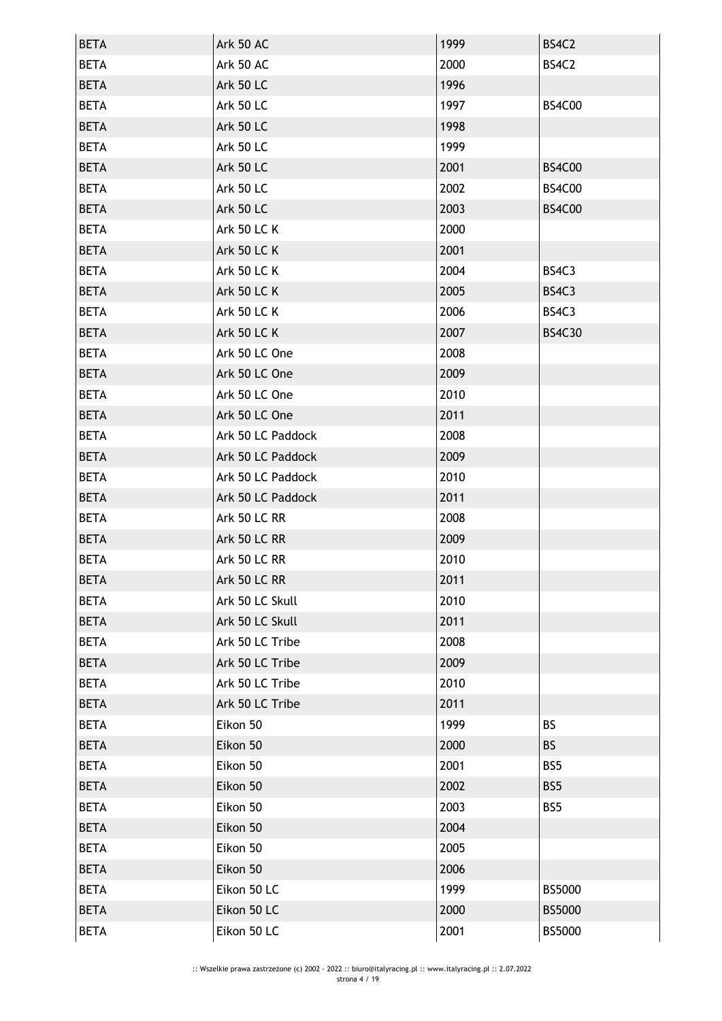| <b>BETA</b> | <b>Ark 50 AC</b>   | 1999 | BS4C2         |
|-------------|--------------------|------|---------------|
| <b>BETA</b> | Ark 50 AC          | 2000 | BS4C2         |
| <b>BETA</b> | <b>Ark 50 LC</b>   | 1996 |               |
| <b>BETA</b> | <b>Ark 50 LC</b>   | 1997 | <b>BS4C00</b> |
| <b>BETA</b> | <b>Ark 50 LC</b>   | 1998 |               |
| <b>BETA</b> | <b>Ark 50 LC</b>   | 1999 |               |
| <b>BETA</b> | <b>Ark 50 LC</b>   | 2001 | <b>BS4C00</b> |
| <b>BETA</b> | <b>Ark 50 LC</b>   | 2002 | <b>BS4C00</b> |
| <b>BETA</b> | <b>Ark 50 LC</b>   | 2003 | <b>BS4C00</b> |
| <b>BETA</b> | <b>Ark 50 LC K</b> | 2000 |               |
| <b>BETA</b> | <b>Ark 50 LC K</b> | 2001 |               |
| <b>BETA</b> | <b>Ark 50 LC K</b> | 2004 | BS4C3         |
| <b>BETA</b> | <b>Ark 50 LC K</b> | 2005 | BS4C3         |
| <b>BETA</b> | <b>Ark 50 LC K</b> | 2006 | BS4C3         |
| <b>BETA</b> | <b>Ark 50 LC K</b> | 2007 | <b>BS4C30</b> |
| <b>BETA</b> | Ark 50 LC One      | 2008 |               |
| <b>BETA</b> | Ark 50 LC One      | 2009 |               |
| <b>BETA</b> | Ark 50 LC One      | 2010 |               |
| <b>BETA</b> | Ark 50 LC One      | 2011 |               |
| <b>BETA</b> | Ark 50 LC Paddock  | 2008 |               |
| <b>BETA</b> | Ark 50 LC Paddock  | 2009 |               |
| <b>BETA</b> | Ark 50 LC Paddock  | 2010 |               |
| <b>BETA</b> | Ark 50 LC Paddock  | 2011 |               |
| <b>BETA</b> | Ark 50 LC RR       | 2008 |               |
| <b>BETA</b> | Ark 50 LC RR       | 2009 |               |
| <b>BETA</b> | Ark 50 LC RR       | 2010 |               |
| <b>BETA</b> | Ark 50 LC RR       | 2011 |               |
| <b>BETA</b> | Ark 50 LC Skull    | 2010 |               |
| <b>BETA</b> | Ark 50 LC Skull    | 2011 |               |
| <b>BETA</b> | Ark 50 LC Tribe    | 2008 |               |
| <b>BETA</b> | Ark 50 LC Tribe    | 2009 |               |
| <b>BETA</b> | Ark 50 LC Tribe    | 2010 |               |
| <b>BETA</b> | Ark 50 LC Tribe    | 2011 |               |
| <b>BETA</b> | Eikon 50           | 1999 | <b>BS</b>     |
| <b>BETA</b> | Eikon 50           | 2000 | <b>BS</b>     |
| <b>BETA</b> | Eikon 50           | 2001 | BS5           |
| <b>BETA</b> | Eikon 50           | 2002 | BS5           |
| <b>BETA</b> | Eikon 50           | 2003 | BS5           |
| <b>BETA</b> | Eikon 50           | 2004 |               |
| <b>BETA</b> | Eikon 50           | 2005 |               |
| <b>BETA</b> | Eikon 50           | 2006 |               |
| <b>BETA</b> | Eikon 50 LC        | 1999 | BS5000        |
| <b>BETA</b> | Eikon 50 LC        | 2000 | <b>BS5000</b> |
| <b>BETA</b> | Eikon 50 LC        | 2001 | BS5000        |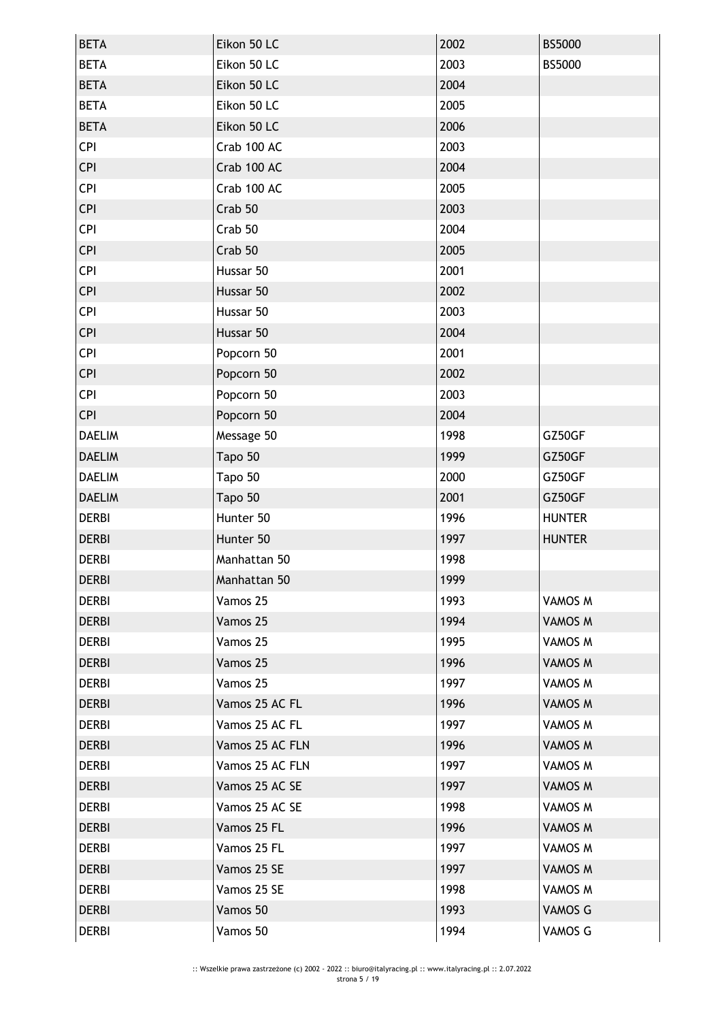| <b>BETA</b>   | Eikon 50 LC     | 2002 | <b>BS5000</b> |
|---------------|-----------------|------|---------------|
| <b>BETA</b>   | Eikon 50 LC     | 2003 | BS5000        |
| <b>BETA</b>   | Eikon 50 LC     | 2004 |               |
| <b>BETA</b>   | Eikon 50 LC     | 2005 |               |
| <b>BETA</b>   | Eikon 50 LC     | 2006 |               |
| <b>CPI</b>    | Crab 100 AC     | 2003 |               |
| <b>CPI</b>    | Crab 100 AC     | 2004 |               |
| <b>CPI</b>    | Crab 100 AC     | 2005 |               |
| <b>CPI</b>    | Crab 50         | 2003 |               |
| <b>CPI</b>    | Crab 50         | 2004 |               |
| <b>CPI</b>    | Crab 50         | 2005 |               |
| <b>CPI</b>    | Hussar 50       | 2001 |               |
| <b>CPI</b>    | Hussar 50       | 2002 |               |
| <b>CPI</b>    | Hussar 50       | 2003 |               |
| <b>CPI</b>    | Hussar 50       | 2004 |               |
| <b>CPI</b>    | Popcorn 50      | 2001 |               |
| <b>CPI</b>    | Popcorn 50      | 2002 |               |
| <b>CPI</b>    | Popcorn 50      | 2003 |               |
| <b>CPI</b>    | Popcorn 50      | 2004 |               |
| <b>DAELIM</b> | Message 50      | 1998 | GZ50GF        |
| <b>DAELIM</b> | Tapo 50         | 1999 | GZ50GF        |
| <b>DAELIM</b> | Tapo 50         | 2000 | GZ50GF        |
| <b>DAELIM</b> | Tapo 50         | 2001 | GZ50GF        |
| <b>DERBI</b>  | Hunter 50       | 1996 | <b>HUNTER</b> |
| <b>DERBI</b>  | Hunter 50       | 1997 | <b>HUNTER</b> |
| <b>DERBI</b>  | Manhattan 50    | 1998 |               |
| <b>DERBI</b>  | Manhattan 50    | 1999 |               |
| <b>DERBI</b>  | Vamos 25        | 1993 | VAMOS M       |
| <b>DERBI</b>  | Vamos 25        | 1994 | VAMOS M       |
| <b>DERBI</b>  | Vamos 25        | 1995 | VAMOS M       |
| <b>DERBI</b>  | Vamos 25        | 1996 | VAMOS M       |
| <b>DERBI</b>  | Vamos 25        | 1997 | VAMOS M       |
| <b>DERBI</b>  | Vamos 25 AC FL  | 1996 | VAMOS M       |
| <b>DERBI</b>  | Vamos 25 AC FL  | 1997 | VAMOS M       |
| <b>DERBI</b>  | Vamos 25 AC FLN | 1996 | VAMOS M       |
| <b>DERBI</b>  | Vamos 25 AC FLN | 1997 | VAMOS M       |
| <b>DERBI</b>  | Vamos 25 AC SE  | 1997 | VAMOS M       |
| <b>DERBI</b>  | Vamos 25 AC SE  | 1998 | VAMOS M       |
| <b>DERBI</b>  | Vamos 25 FL     | 1996 | VAMOS M       |
| <b>DERBI</b>  | Vamos 25 FL     | 1997 | VAMOS M       |
| <b>DERBI</b>  | Vamos 25 SE     | 1997 | VAMOS M       |
| <b>DERBI</b>  | Vamos 25 SE     | 1998 | VAMOS M       |
| <b>DERBI</b>  | Vamos 50        | 1993 | VAMOS G       |
| <b>DERBI</b>  | Vamos 50        | 1994 | VAMOS G       |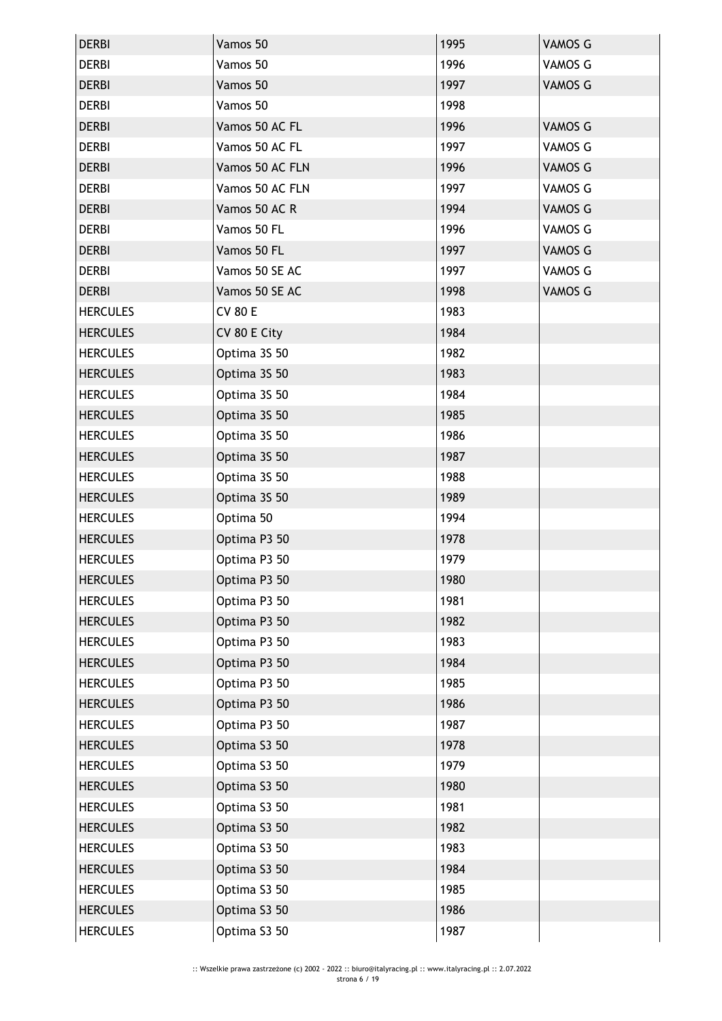| <b>DERBI</b>    | Vamos 50        | 1995 | VAMOS G        |
|-----------------|-----------------|------|----------------|
| <b>DERBI</b>    | Vamos 50        | 1996 | VAMOS G        |
| <b>DERBI</b>    | Vamos 50        | 1997 | <b>VAMOS G</b> |
| <b>DERBI</b>    | Vamos 50        | 1998 |                |
| <b>DERBI</b>    | Vamos 50 AC FL  | 1996 | VAMOS G        |
| <b>DERBI</b>    | Vamos 50 AC FL  | 1997 | VAMOS G        |
| <b>DERBI</b>    | Vamos 50 AC FLN | 1996 | <b>VAMOS G</b> |
| <b>DERBI</b>    | Vamos 50 AC FLN | 1997 | VAMOS G        |
| <b>DERBI</b>    | Vamos 50 AC R   | 1994 | <b>VAMOS G</b> |
| <b>DERBI</b>    | Vamos 50 FL     | 1996 | VAMOS G        |
| <b>DERBI</b>    | Vamos 50 FL     | 1997 | VAMOS G        |
| <b>DERBI</b>    | Vamos 50 SE AC  | 1997 | VAMOS G        |
| <b>DERBI</b>    | Vamos 50 SE AC  | 1998 | <b>VAMOS G</b> |
| <b>HERCULES</b> | <b>CV 80 E</b>  | 1983 |                |
| <b>HERCULES</b> | CV 80 E City    | 1984 |                |
| <b>HERCULES</b> | Optima 3S 50    | 1982 |                |
| <b>HERCULES</b> | Optima 3S 50    | 1983 |                |
| <b>HERCULES</b> | Optima 3S 50    | 1984 |                |
| <b>HERCULES</b> | Optima 3S 50    | 1985 |                |
| <b>HERCULES</b> | Optima 3S 50    | 1986 |                |
| <b>HERCULES</b> | Optima 3S 50    | 1987 |                |
| <b>HERCULES</b> | Optima 3S 50    | 1988 |                |
| <b>HERCULES</b> | Optima 3S 50    | 1989 |                |
| <b>HERCULES</b> | Optima 50       | 1994 |                |
| <b>HERCULES</b> | Optima P3 50    | 1978 |                |
| <b>HERCULES</b> | Optima P3 50    | 1979 |                |
| <b>HERCULES</b> | Optima P3 50    | 1980 |                |
| <b>HERCULES</b> | Optima P3 50    | 1981 |                |
| <b>HERCULES</b> | Optima P3 50    | 1982 |                |
| <b>HERCULES</b> | Optima P3 50    | 1983 |                |
| <b>HERCULES</b> | Optima P3 50    | 1984 |                |
| <b>HERCULES</b> | Optima P3 50    | 1985 |                |
| <b>HERCULES</b> | Optima P3 50    | 1986 |                |
| <b>HERCULES</b> | Optima P3 50    | 1987 |                |
| <b>HERCULES</b> | Optima S3 50    | 1978 |                |
| <b>HERCULES</b> | Optima S3 50    | 1979 |                |
| <b>HERCULES</b> | Optima S3 50    | 1980 |                |
| <b>HERCULES</b> | Optima S3 50    | 1981 |                |
| <b>HERCULES</b> | Optima S3 50    | 1982 |                |
| <b>HERCULES</b> | Optima S3 50    | 1983 |                |
| <b>HERCULES</b> | Optima S3 50    | 1984 |                |
| <b>HERCULES</b> | Optima S3 50    | 1985 |                |
| <b>HERCULES</b> | Optima S3 50    | 1986 |                |
| <b>HERCULES</b> | Optima S3 50    | 1987 |                |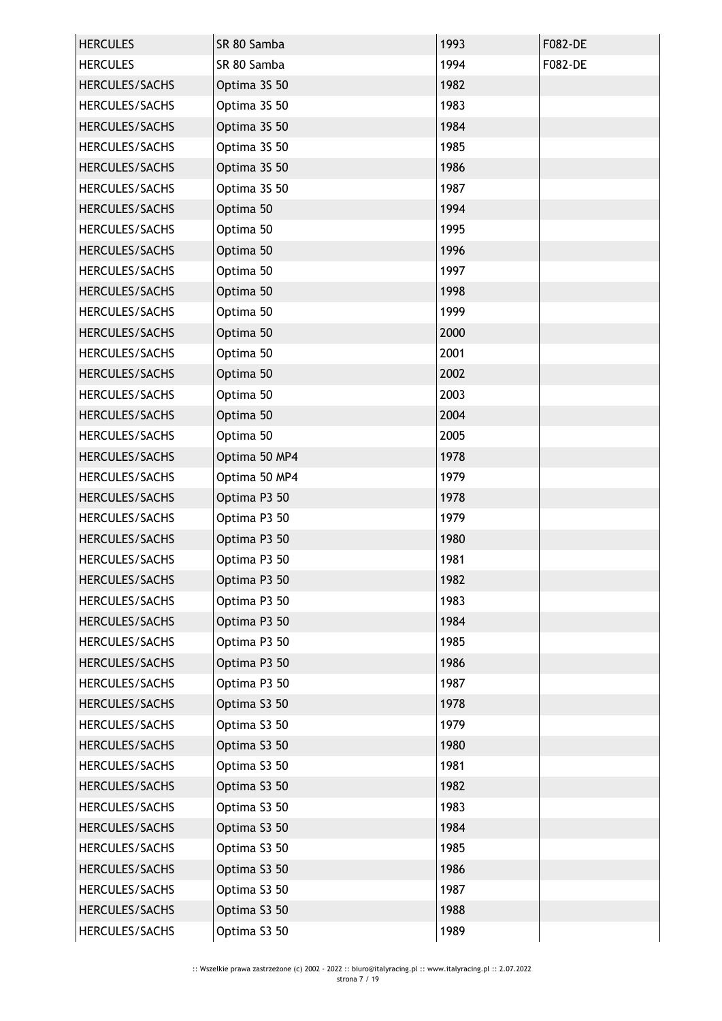| <b>HERCULES</b>       | SR 80 Samba   | 1993 | <b>F082-DE</b> |
|-----------------------|---------------|------|----------------|
| <b>HERCULES</b>       | SR 80 Samba   | 1994 | F082-DE        |
| HERCULES/SACHS        | Optima 3S 50  | 1982 |                |
| HERCULES/SACHS        | Optima 3S 50  | 1983 |                |
| HERCULES/SACHS        | Optima 3S 50  | 1984 |                |
| HERCULES/SACHS        | Optima 3S 50  | 1985 |                |
| HERCULES/SACHS        | Optima 3S 50  | 1986 |                |
| HERCULES/SACHS        | Optima 3S 50  | 1987 |                |
| HERCULES/SACHS        | Optima 50     | 1994 |                |
| <b>HERCULES/SACHS</b> | Optima 50     | 1995 |                |
| HERCULES/SACHS        | Optima 50     | 1996 |                |
| HERCULES/SACHS        | Optima 50     | 1997 |                |
| HERCULES/SACHS        | Optima 50     | 1998 |                |
| HERCULES/SACHS        | Optima 50     | 1999 |                |
| HERCULES/SACHS        | Optima 50     | 2000 |                |
| HERCULES/SACHS        | Optima 50     | 2001 |                |
| HERCULES/SACHS        | Optima 50     | 2002 |                |
| HERCULES/SACHS        | Optima 50     | 2003 |                |
| HERCULES/SACHS        | Optima 50     | 2004 |                |
| HERCULES/SACHS        | Optima 50     | 2005 |                |
| HERCULES/SACHS        | Optima 50 MP4 | 1978 |                |
| HERCULES/SACHS        | Optima 50 MP4 | 1979 |                |
| HERCULES/SACHS        | Optima P3 50  | 1978 |                |
| HERCULES/SACHS        | Optima P3 50  | 1979 |                |
| HERCULES/SACHS        | Optima P3 50  | 1980 |                |
| HERCULES/SACHS        | Optima P3 50  | 1981 |                |
| HERCULES/SACHS        | Optima P3 50  | 1982 |                |
| HERCULES/SACHS        | Optima P3 50  | 1983 |                |
| HERCULES/SACHS        | Optima P3 50  | 1984 |                |
| HERCULES/SACHS        | Optima P3 50  | 1985 |                |
| HERCULES/SACHS        | Optima P3 50  | 1986 |                |
| HERCULES/SACHS        | Optima P3 50  | 1987 |                |
| HERCULES/SACHS        | Optima S3 50  | 1978 |                |
| HERCULES/SACHS        | Optima S3 50  | 1979 |                |
| HERCULES/SACHS        | Optima S3 50  | 1980 |                |
| HERCULES/SACHS        | Optima S3 50  | 1981 |                |
| HERCULES/SACHS        | Optima S3 50  | 1982 |                |
| HERCULES/SACHS        | Optima S3 50  | 1983 |                |
| HERCULES/SACHS        | Optima S3 50  | 1984 |                |
| HERCULES/SACHS        | Optima S3 50  | 1985 |                |
| HERCULES/SACHS        | Optima S3 50  | 1986 |                |
| HERCULES/SACHS        | Optima S3 50  | 1987 |                |
| HERCULES/SACHS        | Optima S3 50  | 1988 |                |
| HERCULES/SACHS        | Optima S3 50  | 1989 |                |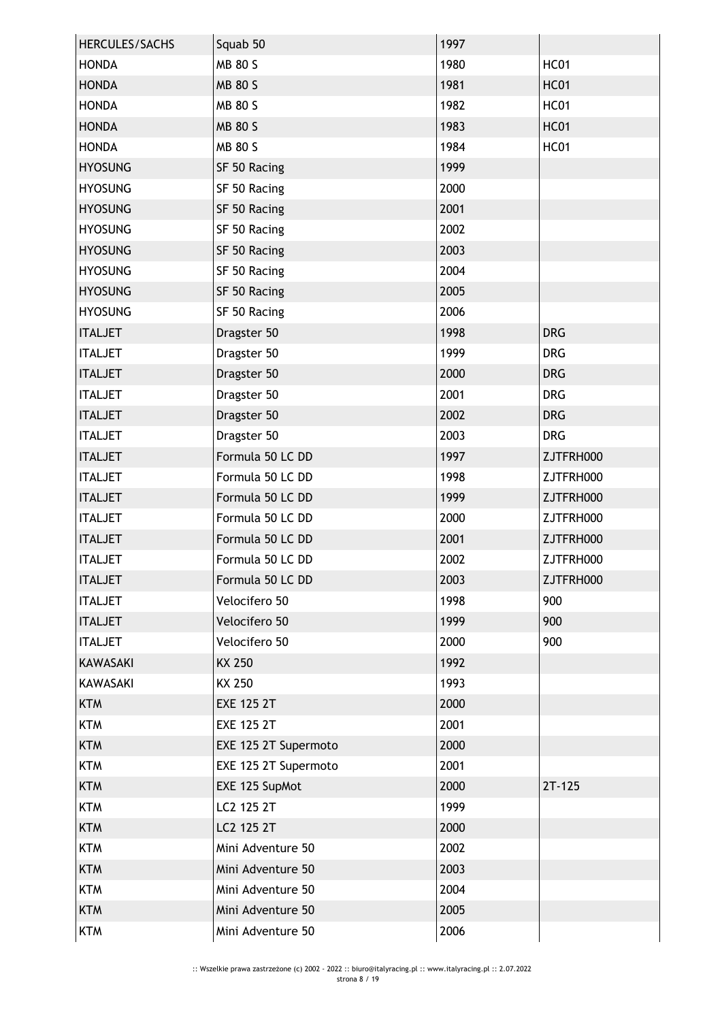| HERCULES/SACHS  | Squab 50             | 1997 |             |
|-----------------|----------------------|------|-------------|
| <b>HONDA</b>    | MB 80 S              | 1980 | <b>HC01</b> |
| <b>HONDA</b>    | <b>MB 80 S</b>       | 1981 | <b>HC01</b> |
| <b>HONDA</b>    | MB 80 S              | 1982 | <b>HC01</b> |
| <b>HONDA</b>    | <b>MB 80 S</b>       | 1983 | <b>HC01</b> |
| <b>HONDA</b>    | MB 80 S              | 1984 | <b>HC01</b> |
| <b>HYOSUNG</b>  | SF 50 Racing         | 1999 |             |
| <b>HYOSUNG</b>  | SF 50 Racing         | 2000 |             |
| <b>HYOSUNG</b>  | SF 50 Racing         | 2001 |             |
| <b>HYOSUNG</b>  | SF 50 Racing         | 2002 |             |
| <b>HYOSUNG</b>  | SF 50 Racing         | 2003 |             |
| <b>HYOSUNG</b>  | SF 50 Racing         | 2004 |             |
| <b>HYOSUNG</b>  | SF 50 Racing         | 2005 |             |
| <b>HYOSUNG</b>  | SF 50 Racing         | 2006 |             |
| <b>ITALJET</b>  | Dragster 50          | 1998 | <b>DRG</b>  |
| <b>ITALJET</b>  | Dragster 50          | 1999 | <b>DRG</b>  |
| <b>ITALJET</b>  | Dragster 50          | 2000 | <b>DRG</b>  |
| <b>ITALJET</b>  | Dragster 50          | 2001 | <b>DRG</b>  |
| <b>ITALJET</b>  | Dragster 50          | 2002 | <b>DRG</b>  |
| <b>ITALJET</b>  | Dragster 50          | 2003 | <b>DRG</b>  |
| <b>ITALJET</b>  | Formula 50 LC DD     | 1997 | ZJTFRH000   |
| <b>ITALJET</b>  | Formula 50 LC DD     | 1998 | ZJTFRH000   |
| <b>ITALJET</b>  | Formula 50 LC DD     | 1999 | ZJTFRH000   |
| <b>ITALJET</b>  | Formula 50 LC DD     | 2000 | ZJTFRH000   |
| <b>ITALJET</b>  | Formula 50 LC DD     | 2001 | ZJTFRH000   |
| <b>ITALJET</b>  | Formula 50 LC DD     | 2002 | ZJTFRH000   |
| <b>ITALJET</b>  | Formula 50 LC DD     | 2003 | ZJTFRH000   |
| <b>ITALJET</b>  | Velocifero 50        | 1998 | 900         |
| <b>ITALJET</b>  | Velocifero 50        | 1999 | 900         |
| <b>ITALJET</b>  | Velocifero 50        | 2000 | 900         |
| <b>KAWASAKI</b> | KX 250               | 1992 |             |
| <b>KAWASAKI</b> | KX 250               | 1993 |             |
| <b>KTM</b>      | <b>EXE 125 2T</b>    | 2000 |             |
| <b>KTM</b>      | <b>EXE 125 2T</b>    | 2001 |             |
| <b>KTM</b>      | EXE 125 2T Supermoto | 2000 |             |
| <b>KTM</b>      | EXE 125 2T Supermoto | 2001 |             |
| <b>KTM</b>      | EXE 125 SupMot       | 2000 | $2T-125$    |
| <b>KTM</b>      | LC2 125 2T           | 1999 |             |
| <b>KTM</b>      | LC2 125 2T           | 2000 |             |
| <b>KTM</b>      | Mini Adventure 50    | 2002 |             |
| <b>KTM</b>      | Mini Adventure 50    | 2003 |             |
| <b>KTM</b>      | Mini Adventure 50    | 2004 |             |
| <b>KTM</b>      | Mini Adventure 50    | 2005 |             |
| <b>KTM</b>      | Mini Adventure 50    | 2006 |             |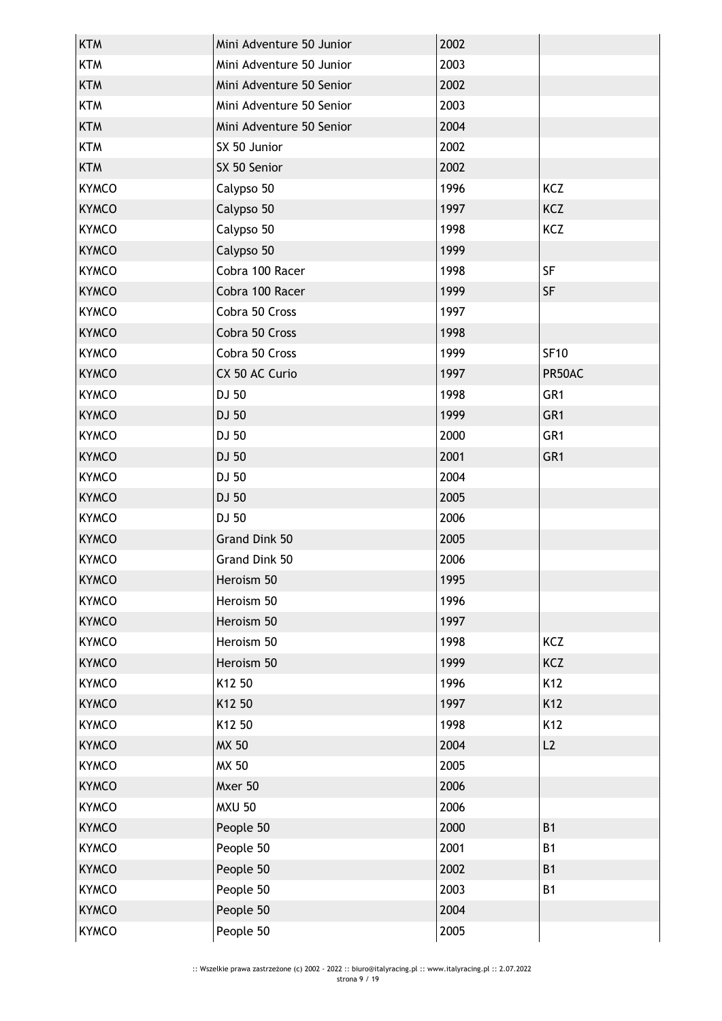| <b>KTM</b>   | Mini Adventure 50 Junior | 2002 |                 |
|--------------|--------------------------|------|-----------------|
| <b>KTM</b>   | Mini Adventure 50 Junior | 2003 |                 |
| <b>KTM</b>   | Mini Adventure 50 Senior | 2002 |                 |
| <b>KTM</b>   | Mini Adventure 50 Senior | 2003 |                 |
| <b>KTM</b>   | Mini Adventure 50 Senior | 2004 |                 |
| <b>KTM</b>   | SX 50 Junior             | 2002 |                 |
| <b>KTM</b>   | SX 50 Senior             | 2002 |                 |
| <b>KYMCO</b> | Calypso 50               | 1996 | KCZ             |
| <b>KYMCO</b> | Calypso 50               | 1997 | KCZ             |
| <b>KYMCO</b> | Calypso 50               | 1998 | KCZ             |
| <b>KYMCO</b> | Calypso 50               | 1999 |                 |
| <b>KYMCO</b> | Cobra 100 Racer          | 1998 | <b>SF</b>       |
| <b>KYMCO</b> | Cobra 100 Racer          | 1999 | <b>SF</b>       |
| <b>KYMCO</b> | Cobra 50 Cross           | 1997 |                 |
| <b>KYMCO</b> | Cobra 50 Cross           | 1998 |                 |
| <b>KYMCO</b> | Cobra 50 Cross           | 1999 | <b>SF10</b>     |
| <b>KYMCO</b> | CX 50 AC Curio           | 1997 | PR50AC          |
| <b>KYMCO</b> | DJ 50                    | 1998 | GR <sub>1</sub> |
| <b>KYMCO</b> | DJ 50                    | 1999 | GR <sub>1</sub> |
| <b>KYMCO</b> | DJ 50                    | 2000 | GR <sub>1</sub> |
| <b>KYMCO</b> | DJ 50                    | 2001 | GR1             |
| <b>KYMCO</b> | DJ 50                    | 2004 |                 |
| <b>KYMCO</b> | DJ 50                    | 2005 |                 |
| <b>KYMCO</b> | DJ 50                    | 2006 |                 |
| <b>KYMCO</b> | Grand Dink 50            | 2005 |                 |
| <b>KYMCO</b> | Grand Dink 50            | 2006 |                 |
| <b>KYMCO</b> | Heroism 50               | 1995 |                 |
| <b>KYMCO</b> | Heroism 50               | 1996 |                 |
| <b>KYMCO</b> | Heroism 50               | 1997 |                 |
| <b>KYMCO</b> | Heroism 50               | 1998 | KCZ             |
| <b>KYMCO</b> | Heroism 50               | 1999 | KCZ             |
| <b>KYMCO</b> | K12 50                   | 1996 | K12             |
| <b>KYMCO</b> | K12 50                   | 1997 | K12             |
| <b>KYMCO</b> | K12 50                   | 1998 | K12             |
| <b>KYMCO</b> | <b>MX 50</b>             | 2004 | L2              |
| <b>KYMCO</b> | MX 50                    | 2005 |                 |
| <b>KYMCO</b> | Mxer 50                  | 2006 |                 |
| <b>KYMCO</b> | <b>MXU 50</b>            | 2006 |                 |
| <b>KYMCO</b> | People 50                | 2000 | <b>B1</b>       |
| <b>KYMCO</b> | People 50                | 2001 | <b>B1</b>       |
| <b>KYMCO</b> | People 50                | 2002 | <b>B1</b>       |
| <b>KYMCO</b> | People 50                | 2003 | <b>B1</b>       |
| <b>KYMCO</b> | People 50                | 2004 |                 |
| <b>KYMCO</b> | People 50                | 2005 |                 |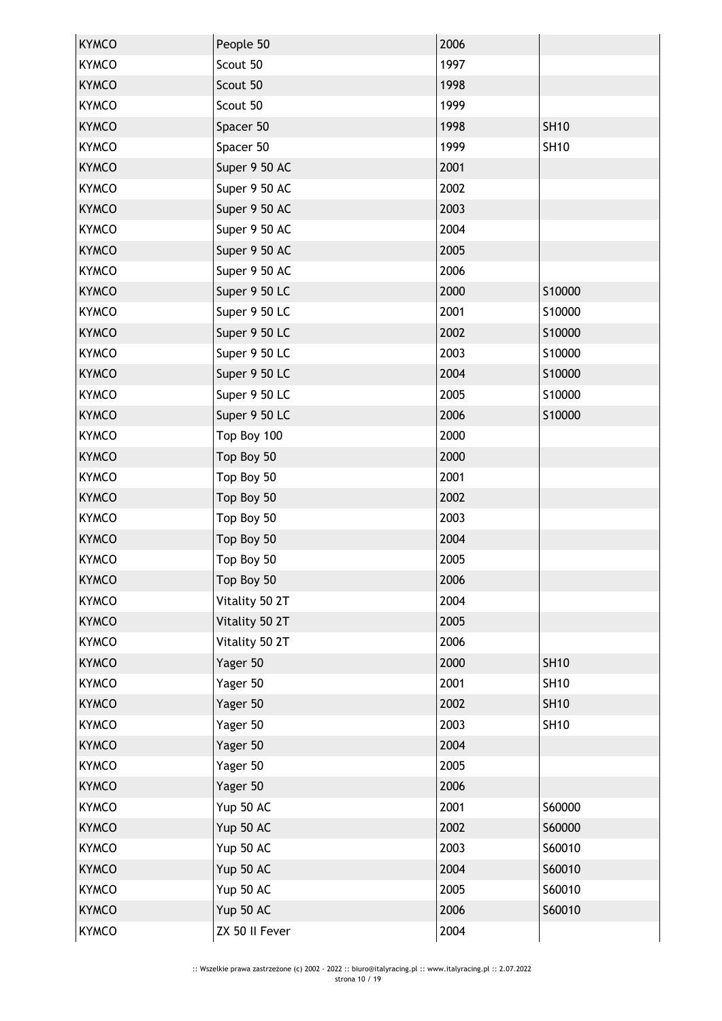| <b>KYMCO</b> | People 50      | 2006 |             |
|--------------|----------------|------|-------------|
| <b>KYMCO</b> | Scout 50       | 1997 |             |
| <b>KYMCO</b> | Scout 50       | 1998 |             |
| <b>KYMCO</b> | Scout 50       | 1999 |             |
| <b>KYMCO</b> | Spacer 50      | 1998 | <b>SH10</b> |
| <b>KYMCO</b> | Spacer 50      | 1999 | <b>SH10</b> |
| <b>KYMCO</b> | Super 9 50 AC  | 2001 |             |
| <b>KYMCO</b> | Super 9 50 AC  | 2002 |             |
| <b>KYMCO</b> | Super 9 50 AC  | 2003 |             |
| <b>KYMCO</b> | Super 9 50 AC  | 2004 |             |
| <b>KYMCO</b> | Super 9 50 AC  | 2005 |             |
| <b>KYMCO</b> | Super 9 50 AC  | 2006 |             |
| <b>KYMCO</b> | Super 9 50 LC  | 2000 | S10000      |
| <b>KYMCO</b> | Super 9 50 LC  | 2001 | S10000      |
| <b>KYMCO</b> | Super 9 50 LC  | 2002 | S10000      |
| <b>KYMCO</b> | Super 9 50 LC  | 2003 | S10000      |
| <b>KYMCO</b> | Super 9 50 LC  | 2004 | S10000      |
| <b>KYMCO</b> | Super 9 50 LC  | 2005 | S10000      |
| <b>KYMCO</b> | Super 9 50 LC  | 2006 | S10000      |
| <b>KYMCO</b> | Top Boy 100    | 2000 |             |
| <b>KYMCO</b> | Top Boy 50     | 2000 |             |
| <b>KYMCO</b> | Top Boy 50     | 2001 |             |
| <b>KYMCO</b> | Top Boy 50     | 2002 |             |
| <b>KYMCO</b> | Top Boy 50     | 2003 |             |
| <b>KYMCO</b> | Top Boy 50     | 2004 |             |
| <b>KYMCO</b> | Top Boy 50     | 2005 |             |
| <b>KYMCO</b> | Top Boy 50     | 2006 |             |
| <b>KYMCO</b> | Vitality 50 2T | 2004 |             |
| <b>KYMCO</b> | Vitality 50 2T | 2005 |             |
| <b>KYMCO</b> | Vitality 50 2T | 2006 |             |
| <b>KYMCO</b> | Yager 50       | 2000 | <b>SH10</b> |
| <b>KYMCO</b> | Yager 50       | 2001 | <b>SH10</b> |
| <b>KYMCO</b> | Yager 50       | 2002 | <b>SH10</b> |
| <b>KYMCO</b> | Yager 50       | 2003 | <b>SH10</b> |
| <b>KYMCO</b> | Yager 50       | 2004 |             |
| <b>KYMCO</b> | Yager 50       | 2005 |             |
| <b>KYMCO</b> | Yager 50       | 2006 |             |
| <b>KYMCO</b> | Yup 50 AC      | 2001 | S60000      |
| <b>KYMCO</b> | Yup 50 AC      | 2002 | S60000      |
| <b>KYMCO</b> | Yup 50 AC      | 2003 | S60010      |
| <b>KYMCO</b> | Yup 50 AC      | 2004 | S60010      |
| <b>KYMCO</b> | Yup 50 AC      | 2005 | S60010      |
| <b>KYMCO</b> | Yup 50 AC      | 2006 | S60010      |
| <b>KYMCO</b> | ZX 50 II Fever | 2004 |             |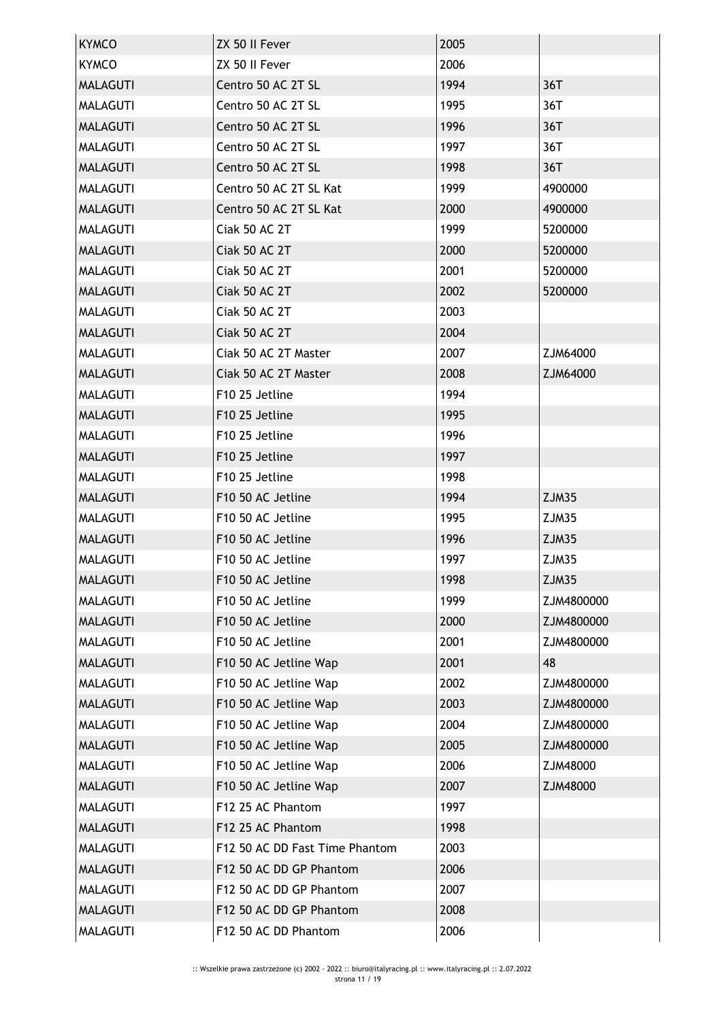| <b>KYMCO</b>    | ZX 50 II Fever                 | 2005 |            |
|-----------------|--------------------------------|------|------------|
| <b>KYMCO</b>    | ZX 50 II Fever                 | 2006 |            |
| <b>MALAGUTI</b> | Centro 50 AC 2T SL             | 1994 | 36T        |
| <b>MALAGUTI</b> | Centro 50 AC 2T SL             | 1995 | 36T        |
| <b>MALAGUTI</b> | Centro 50 AC 2T SL             | 1996 | 36T        |
| <b>MALAGUTI</b> | Centro 50 AC 2T SL             | 1997 | 36T        |
| <b>MALAGUTI</b> | Centro 50 AC 2T SL             | 1998 | 36T        |
| <b>MALAGUTI</b> | Centro 50 AC 2T SL Kat         | 1999 | 4900000    |
| <b>MALAGUTI</b> | Centro 50 AC 2T SL Kat         | 2000 | 4900000    |
| <b>MALAGUTI</b> | Ciak 50 AC 2T                  | 1999 | 5200000    |
| <b>MALAGUTI</b> | Ciak 50 AC 2T                  | 2000 | 5200000    |
| <b>MALAGUTI</b> | <b>Ciak 50 AC 2T</b>           | 2001 | 5200000    |
| <b>MALAGUTI</b> | Ciak 50 AC 2T                  | 2002 | 5200000    |
| <b>MALAGUTI</b> | Ciak 50 AC 2T                  | 2003 |            |
| <b>MALAGUTI</b> | Ciak 50 AC 2T                  | 2004 |            |
| <b>MALAGUTI</b> | Ciak 50 AC 2T Master           | 2007 | ZJM64000   |
| <b>MALAGUTI</b> | Ciak 50 AC 2T Master           | 2008 | ZJM64000   |
| <b>MALAGUTI</b> | F10 25 Jetline                 | 1994 |            |
| <b>MALAGUTI</b> | F10 25 Jetline                 | 1995 |            |
| <b>MALAGUTI</b> | F10 25 Jetline                 | 1996 |            |
| <b>MALAGUTI</b> | F10 25 Jetline                 | 1997 |            |
| <b>MALAGUTI</b> | F10 25 Jetline                 | 1998 |            |
| <b>MALAGUTI</b> | F10 50 AC Jetline              | 1994 | ZJM35      |
| <b>MALAGUTI</b> | F10 50 AC Jetline              | 1995 | ZJM35      |
| <b>MALAGUTI</b> | F10 50 AC Jetline              | 1996 | ZJM35      |
| <b>MALAGUTI</b> | F <sub>10</sub> 50 AC Jetline  | 1997 | ZJM35      |
| <b>MALAGUTI</b> | F10 50 AC Jetline              | 1998 | ZJM35      |
| <b>MALAGUTI</b> | F10 50 AC Jetline              | 1999 | ZJM4800000 |
| <b>MALAGUTI</b> | F10 50 AC Jetline              | 2000 | ZJM4800000 |
| <b>MALAGUTI</b> | F10 50 AC Jetline              | 2001 | ZJM4800000 |
| <b>MALAGUTI</b> | F10 50 AC Jetline Wap          | 2001 | 48         |
| <b>MALAGUTI</b> | F10 50 AC Jetline Wap          | 2002 | ZJM4800000 |
| <b>MALAGUTI</b> | F10 50 AC Jetline Wap          | 2003 | ZJM4800000 |
| <b>MALAGUTI</b> | F10 50 AC Jetline Wap          | 2004 | ZJM4800000 |
| <b>MALAGUTI</b> | F10 50 AC Jetline Wap          | 2005 | ZJM4800000 |
| <b>MALAGUTI</b> | F10 50 AC Jetline Wap          | 2006 | ZJM48000   |
| <b>MALAGUTI</b> | F10 50 AC Jetline Wap          | 2007 | ZJM48000   |
| <b>MALAGUTI</b> | F12 25 AC Phantom              | 1997 |            |
| <b>MALAGUTI</b> | F12 25 AC Phantom              | 1998 |            |
| <b>MALAGUTI</b> | F12 50 AC DD Fast Time Phantom | 2003 |            |
| <b>MALAGUTI</b> | F12 50 AC DD GP Phantom        | 2006 |            |
| <b>MALAGUTI</b> | F12 50 AC DD GP Phantom        | 2007 |            |
| <b>MALAGUTI</b> | F12 50 AC DD GP Phantom        | 2008 |            |
| <b>MALAGUTI</b> | F12 50 AC DD Phantom           | 2006 |            |
|                 |                                |      |            |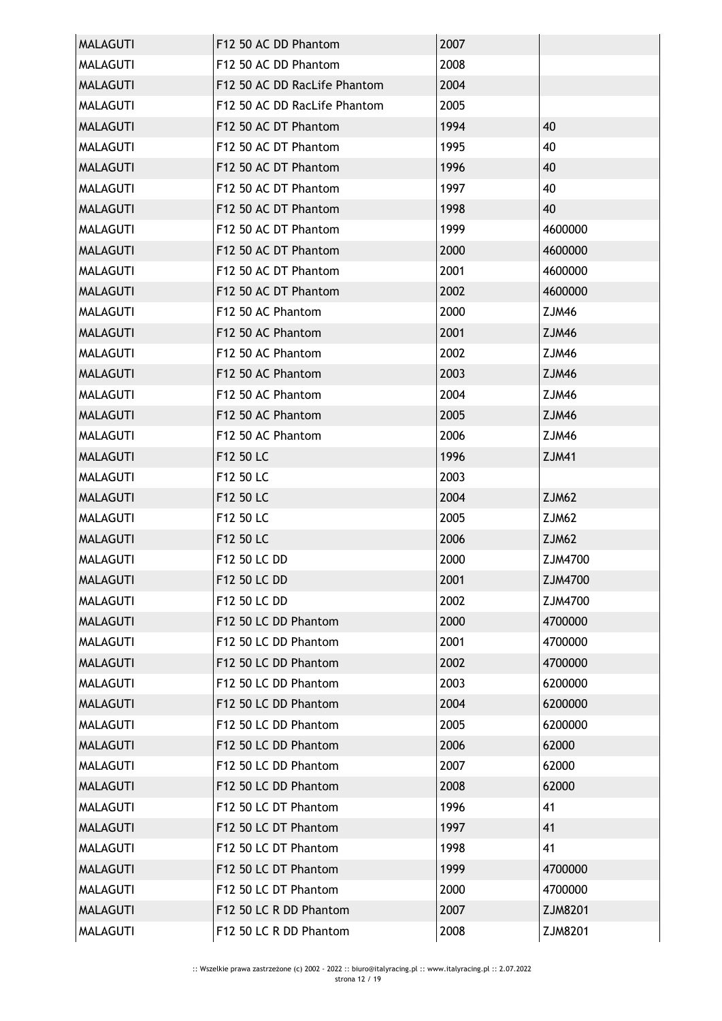| <b>MALAGUTI</b> | F12 50 AC DD Phantom         | 2007 |              |
|-----------------|------------------------------|------|--------------|
| <b>MALAGUTI</b> | F12 50 AC DD Phantom         | 2008 |              |
| <b>MALAGUTI</b> | F12 50 AC DD RacLife Phantom | 2004 |              |
| <b>MALAGUTI</b> | F12 50 AC DD RacLife Phantom | 2005 |              |
| <b>MALAGUTI</b> | F12 50 AC DT Phantom         | 1994 | 40           |
| <b>MALAGUTI</b> | F12 50 AC DT Phantom         | 1995 | 40           |
| <b>MALAGUTI</b> | F12 50 AC DT Phantom         | 1996 | 40           |
| <b>MALAGUTI</b> | F12 50 AC DT Phantom         | 1997 | 40           |
| <b>MALAGUTI</b> | F12 50 AC DT Phantom         | 1998 | 40           |
| <b>MALAGUTI</b> | F12 50 AC DT Phantom         | 1999 | 4600000      |
| <b>MALAGUTI</b> | F12 50 AC DT Phantom         | 2000 | 4600000      |
| <b>MALAGUTI</b> | F12 50 AC DT Phantom         | 2001 | 4600000      |
| <b>MALAGUTI</b> | F12 50 AC DT Phantom         | 2002 | 4600000      |
| <b>MALAGUTI</b> | F12 50 AC Phantom            | 2000 | <b>ZJM46</b> |
| <b>MALAGUTI</b> | F12 50 AC Phantom            | 2001 | ZJM46        |
| <b>MALAGUTI</b> | F12 50 AC Phantom            | 2002 | ZJM46        |
| <b>MALAGUTI</b> | F12 50 AC Phantom            | 2003 | ZJM46        |
| <b>MALAGUTI</b> | F12 50 AC Phantom            | 2004 | ZJM46        |
| <b>MALAGUTI</b> | F12 50 AC Phantom            | 2005 | ZJM46        |
| <b>MALAGUTI</b> | F12 50 AC Phantom            | 2006 | ZJM46        |
| <b>MALAGUTI</b> | F12 50 LC                    | 1996 | <b>ZJM41</b> |
| <b>MALAGUTI</b> | F12 50 LC                    | 2003 |              |
| <b>MALAGUTI</b> | F12 50 LC                    | 2004 | ZJM62        |
| <b>MALAGUTI</b> | F12 50 LC                    | 2005 | ZJM62        |
| <b>MALAGUTI</b> | F12 50 LC                    | 2006 | ZJM62        |
| <b>MALAGUTI</b> | F12 50 LC DD                 | 2000 | ZJM4700      |
| <b>MALAGUTI</b> | F12 50 LC DD                 | 2001 | ZJM4700      |
| <b>MALAGUTI</b> | F12 50 LC DD                 | 2002 | ZJM4700      |
| <b>MALAGUTI</b> | F12 50 LC DD Phantom         | 2000 | 4700000      |
| <b>MALAGUTI</b> | F12 50 LC DD Phantom         | 2001 | 4700000      |
| <b>MALAGUTI</b> | F12 50 LC DD Phantom         | 2002 | 4700000      |
| <b>MALAGUTI</b> | F12 50 LC DD Phantom         | 2003 | 6200000      |
| <b>MALAGUTI</b> | F12 50 LC DD Phantom         | 2004 | 6200000      |
| MALAGUTI        | F12 50 LC DD Phantom         | 2005 | 6200000      |
| <b>MALAGUTI</b> | F12 50 LC DD Phantom         | 2006 | 62000        |
| <b>MALAGUTI</b> | F12 50 LC DD Phantom         | 2007 | 62000        |
| <b>MALAGUTI</b> | F12 50 LC DD Phantom         | 2008 | 62000        |
| <b>MALAGUTI</b> | F12 50 LC DT Phantom         | 1996 | 41           |
| <b>MALAGUTI</b> | F12 50 LC DT Phantom         | 1997 | 41           |
| <b>MALAGUTI</b> | F12 50 LC DT Phantom         | 1998 | 41           |
| <b>MALAGUTI</b> | F12 50 LC DT Phantom         | 1999 | 4700000      |
| <b>MALAGUTI</b> | F12 50 LC DT Phantom         | 2000 | 4700000      |
| <b>MALAGUTI</b> | F12 50 LC R DD Phantom       | 2007 | ZJM8201      |
| <b>MALAGUTI</b> | F12 50 LC R DD Phantom       | 2008 | ZJM8201      |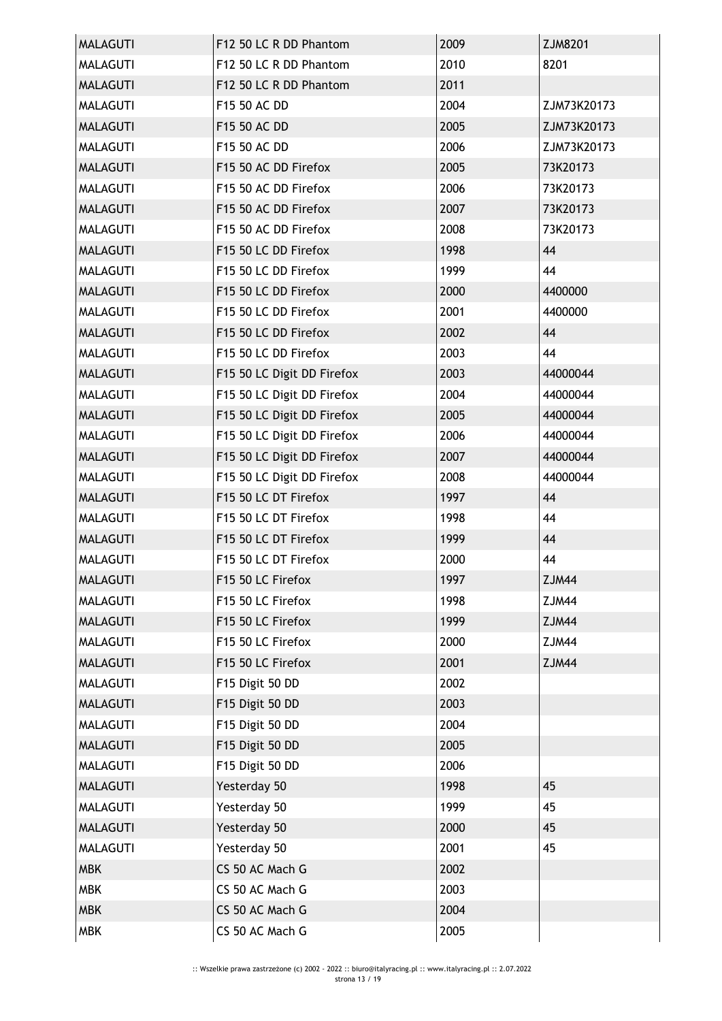| <b>MALAGUTI</b> | F12 50 LC R DD Phantom     | 2009 | ZJM8201     |
|-----------------|----------------------------|------|-------------|
| <b>MALAGUTI</b> | F12 50 LC R DD Phantom     | 2010 | 8201        |
| <b>MALAGUTI</b> | F12 50 LC R DD Phantom     | 2011 |             |
| <b>MALAGUTI</b> | F15 50 AC DD               | 2004 | ZJM73K20173 |
| <b>MALAGUTI</b> | F15 50 AC DD               | 2005 | ZJM73K20173 |
| <b>MALAGUTI</b> | F15 50 AC DD               | 2006 | ZJM73K20173 |
| <b>MALAGUTI</b> | F15 50 AC DD Firefox       | 2005 | 73K20173    |
| <b>MALAGUTI</b> | F15 50 AC DD Firefox       | 2006 | 73K20173    |
| <b>MALAGUTI</b> | F15 50 AC DD Firefox       | 2007 | 73K20173    |
| <b>MALAGUTI</b> | F15 50 AC DD Firefox       | 2008 | 73K20173    |
| <b>MALAGUTI</b> | F15 50 LC DD Firefox       | 1998 | 44          |
| <b>MALAGUTI</b> | F15 50 LC DD Firefox       | 1999 | 44          |
| <b>MALAGUTI</b> | F15 50 LC DD Firefox       | 2000 | 4400000     |
| <b>MALAGUTI</b> | F15 50 LC DD Firefox       | 2001 | 4400000     |
| <b>MALAGUTI</b> | F15 50 LC DD Firefox       | 2002 | 44          |
| <b>MALAGUTI</b> | F15 50 LC DD Firefox       | 2003 | 44          |
| <b>MALAGUTI</b> | F15 50 LC Digit DD Firefox | 2003 | 44000044    |
| <b>MALAGUTI</b> | F15 50 LC Digit DD Firefox | 2004 | 44000044    |
| <b>MALAGUTI</b> | F15 50 LC Digit DD Firefox | 2005 | 44000044    |
| <b>MALAGUTI</b> | F15 50 LC Digit DD Firefox | 2006 | 44000044    |
| <b>MALAGUTI</b> | F15 50 LC Digit DD Firefox | 2007 | 44000044    |
| <b>MALAGUTI</b> | F15 50 LC Digit DD Firefox | 2008 | 44000044    |
| <b>MALAGUTI</b> | F15 50 LC DT Firefox       | 1997 | 44          |
| <b>MALAGUTI</b> | F15 50 LC DT Firefox       | 1998 | 44          |
| <b>MALAGUTI</b> | F15 50 LC DT Firefox       | 1999 | 44          |
| <b>MALAGUTI</b> | F15 50 LC DT Firefox       | 2000 | 44          |
| <b>MALAGUTI</b> | F15 50 LC Firefox          | 1997 | ZJM44       |
| MALAGUTI        | F15 50 LC Firefox          | 1998 | ZJM44       |
| <b>MALAGUTI</b> | F15 50 LC Firefox          | 1999 | ZJM44       |
| <b>MALAGUTI</b> | F15 50 LC Firefox          | 2000 | ZJM44       |
| <b>MALAGUTI</b> | F15 50 LC Firefox          | 2001 | ZJM44       |
| <b>MALAGUTI</b> | F15 Digit 50 DD            | 2002 |             |
| <b>MALAGUTI</b> | F15 Digit 50 DD            | 2003 |             |
| <b>MALAGUTI</b> | F15 Digit 50 DD            | 2004 |             |
| <b>MALAGUTI</b> | F15 Digit 50 DD            | 2005 |             |
| <b>MALAGUTI</b> | F15 Digit 50 DD            | 2006 |             |
| <b>MALAGUTI</b> | Yesterday 50               | 1998 | 45          |
| <b>MALAGUTI</b> | Yesterday 50               | 1999 | 45          |
| <b>MALAGUTI</b> | Yesterday 50               | 2000 | 45          |
| <b>MALAGUTI</b> | Yesterday 50               | 2001 | 45          |
| <b>MBK</b>      | CS 50 AC Mach G            | 2002 |             |
| <b>MBK</b>      | CS 50 AC Mach G            | 2003 |             |
| <b>MBK</b>      | CS 50 AC Mach G            | 2004 |             |
| <b>MBK</b>      | CS 50 AC Mach G            | 2005 |             |
|                 |                            |      |             |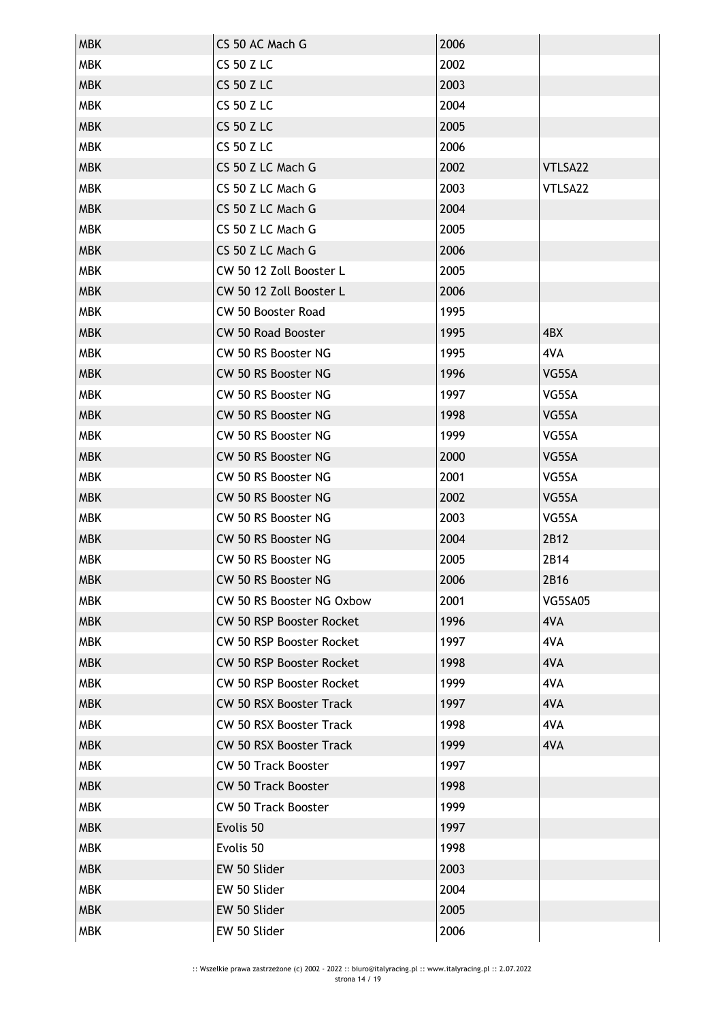| <b>MBK</b> | CS 50 AC Mach G                | 2006 |         |
|------------|--------------------------------|------|---------|
| <b>MBK</b> | <b>CS 50 Z LC</b>              | 2002 |         |
| <b>MBK</b> | <b>CS 50 Z LC</b>              | 2003 |         |
| <b>MBK</b> | <b>CS 50 Z LC</b>              | 2004 |         |
| <b>MBK</b> | <b>CS 50 Z LC</b>              | 2005 |         |
| <b>MBK</b> | <b>CS 50 Z LC</b>              | 2006 |         |
| <b>MBK</b> | CS 50 Z LC Mach G              | 2002 | VTLSA22 |
| <b>MBK</b> | CS 50 Z LC Mach G              | 2003 | VTLSA22 |
| <b>MBK</b> | CS 50 Z LC Mach G              | 2004 |         |
| <b>MBK</b> | CS 50 Z LC Mach G              | 2005 |         |
| <b>MBK</b> | CS 50 Z LC Mach G              | 2006 |         |
| <b>MBK</b> | CW 50 12 Zoll Booster L        | 2005 |         |
| <b>MBK</b> | CW 50 12 Zoll Booster L        | 2006 |         |
| <b>MBK</b> | <b>CW 50 Booster Road</b>      | 1995 |         |
| <b>MBK</b> | <b>CW 50 Road Booster</b>      | 1995 | 4BX     |
| <b>MBK</b> | CW 50 RS Booster NG            | 1995 | 4VA     |
| <b>MBK</b> | CW 50 RS Booster NG            | 1996 | VG5SA   |
| <b>MBK</b> | CW 50 RS Booster NG            | 1997 | VG5SA   |
| <b>MBK</b> | CW 50 RS Booster NG            | 1998 | VG5SA   |
| <b>MBK</b> | CW 50 RS Booster NG            | 1999 | VG5SA   |
| <b>MBK</b> | CW 50 RS Booster NG            | 2000 | VG5SA   |
| <b>MBK</b> | CW 50 RS Booster NG            | 2001 | VG5SA   |
| <b>MBK</b> | CW 50 RS Booster NG            | 2002 | VG5SA   |
| <b>MBK</b> | CW 50 RS Booster NG            | 2003 | VG5SA   |
| <b>MBK</b> | CW 50 RS Booster NG            | 2004 | 2B12    |
| <b>MBK</b> | CW 50 RS Booster NG            | 2005 | 2B14    |
| <b>MBK</b> | CW 50 RS Booster NG            | 2006 | 2B16    |
| <b>MBK</b> | CW 50 RS Booster NG Oxbow      | 2001 | VG5SA05 |
| <b>MBK</b> | CW 50 RSP Booster Rocket       | 1996 | 4VA     |
| <b>MBK</b> | CW 50 RSP Booster Rocket       | 1997 | 4VA     |
| <b>MBK</b> | CW 50 RSP Booster Rocket       | 1998 | 4VA     |
| <b>MBK</b> | CW 50 RSP Booster Rocket       | 1999 | 4VA     |
| <b>MBK</b> | <b>CW 50 RSX Booster Track</b> | 1997 | 4VA     |
| <b>MBK</b> | <b>CW 50 RSX Booster Track</b> | 1998 | 4VA     |
| <b>MBK</b> | <b>CW 50 RSX Booster Track</b> | 1999 | 4VA     |
| <b>MBK</b> | <b>CW 50 Track Booster</b>     | 1997 |         |
| <b>MBK</b> | <b>CW 50 Track Booster</b>     | 1998 |         |
| <b>MBK</b> | <b>CW 50 Track Booster</b>     | 1999 |         |
| <b>MBK</b> | Evolis 50                      | 1997 |         |
| <b>MBK</b> | Evolis 50                      | 1998 |         |
| <b>MBK</b> | EW 50 Slider                   | 2003 |         |
| <b>MBK</b> | EW 50 Slider                   | 2004 |         |
| <b>MBK</b> | EW 50 Slider                   | 2005 |         |
| <b>MBK</b> | EW 50 Slider                   | 2006 |         |
|            |                                |      |         |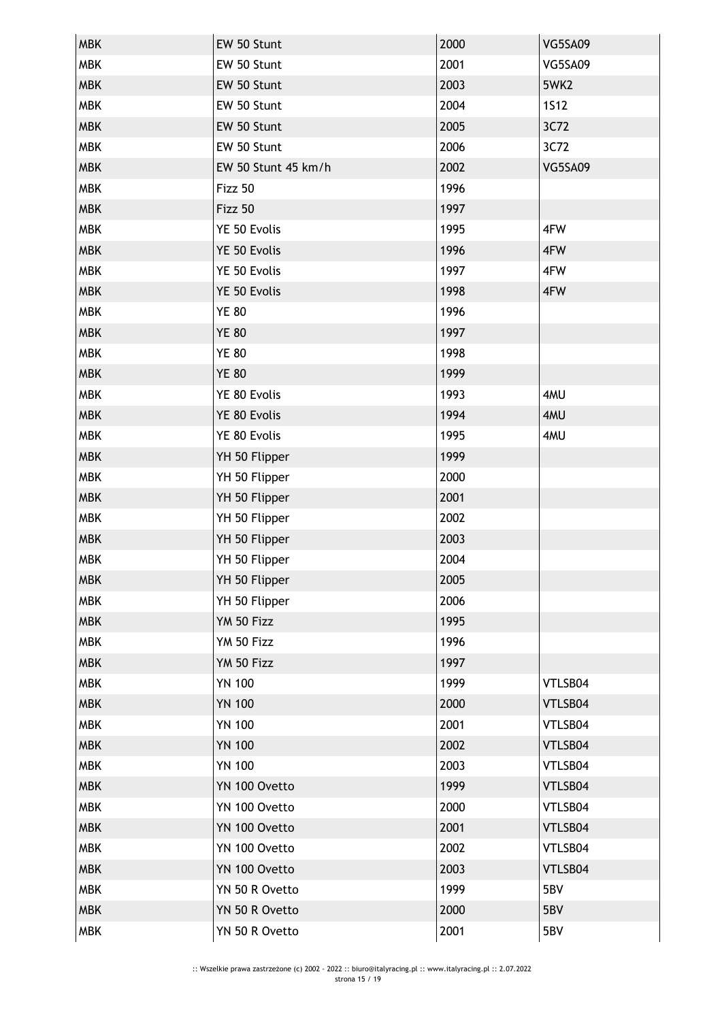| <b>MBK</b> | EW 50 Stunt         | 2000 | <b>VG5SA09</b> |
|------------|---------------------|------|----------------|
| <b>MBK</b> | EW 50 Stunt         | 2001 | <b>VG5SA09</b> |
| <b>MBK</b> | EW 50 Stunt         | 2003 | 5WK2           |
| <b>MBK</b> | EW 50 Stunt         | 2004 | <b>1512</b>    |
| <b>MBK</b> | EW 50 Stunt         | 2005 | 3C72           |
| <b>MBK</b> | EW 50 Stunt         | 2006 | 3C72           |
| <b>MBK</b> | EW 50 Stunt 45 km/h | 2002 | <b>VG5SA09</b> |
| <b>MBK</b> | Fizz 50             | 1996 |                |
| <b>MBK</b> | Fizz 50             | 1997 |                |
| MBK        | YE 50 Evolis        | 1995 | 4FW            |
| <b>MBK</b> | YE 50 Evolis        | 1996 | 4FW            |
| <b>MBK</b> | YE 50 Evolis        | 1997 | 4FW            |
| <b>MBK</b> | YE 50 Evolis        | 1998 | 4FW            |
| <b>MBK</b> | <b>YE 80</b>        | 1996 |                |
| <b>MBK</b> | <b>YE 80</b>        | 1997 |                |
| MBK        | <b>YE 80</b>        | 1998 |                |
| <b>MBK</b> | <b>YE 80</b>        | 1999 |                |
| <b>MBK</b> | YE 80 Evolis        | 1993 | 4MU            |
| <b>MBK</b> | YE 80 Evolis        | 1994 | 4MU            |
| <b>MBK</b> | YE 80 Evolis        | 1995 | 4MU            |
| <b>MBK</b> | YH 50 Flipper       | 1999 |                |
| MBK        | YH 50 Flipper       | 2000 |                |
| <b>MBK</b> | YH 50 Flipper       | 2001 |                |
| <b>MBK</b> | YH 50 Flipper       | 2002 |                |
| <b>MBK</b> | YH 50 Flipper       | 2003 |                |
| <b>MBK</b> | YH 50 Flipper       | 2004 |                |
| <b>MBK</b> | YH 50 Flipper       | 2005 |                |
| MBK        | YH 50 Flipper       | 2006 |                |
| <b>MBK</b> | YM 50 Fizz          | 1995 |                |
| <b>MBK</b> | YM 50 Fizz          | 1996 |                |
| <b>MBK</b> | YM 50 Fizz          | 1997 |                |
| <b>MBK</b> | <b>YN 100</b>       | 1999 | VTLSB04        |
| <b>MBK</b> | <b>YN 100</b>       | 2000 | VTLSB04        |
| <b>MBK</b> | <b>YN 100</b>       | 2001 | VTLSB04        |
| <b>MBK</b> | <b>YN 100</b>       | 2002 | VTLSB04        |
| <b>MBK</b> | <b>YN 100</b>       | 2003 | VTLSB04        |
| <b>MBK</b> | YN 100 Ovetto       | 1999 | VTLSB04        |
| <b>MBK</b> | YN 100 Ovetto       | 2000 | VTLSB04        |
| <b>MBK</b> | YN 100 Ovetto       | 2001 | VTLSB04        |
| <b>MBK</b> | YN 100 Ovetto       | 2002 | VTLSB04        |
| <b>MBK</b> | YN 100 Ovetto       | 2003 | VTLSB04        |
| <b>MBK</b> | YN 50 R Ovetto      | 1999 | 5BV            |
| <b>MBK</b> | YN 50 R Ovetto      | 2000 | 5BV            |
| <b>MBK</b> | YN 50 R Ovetto      | 2001 | 5BV            |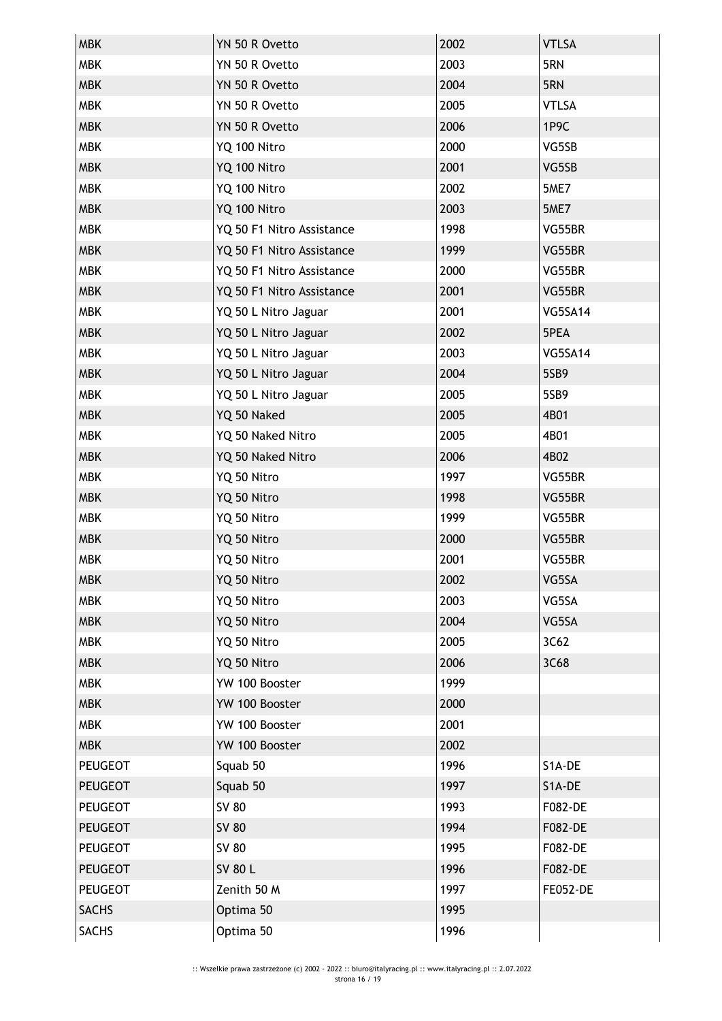| <b>MBK</b>     | YN 50 R Ovetto            | 2002 | <b>VTLSA</b>    |
|----------------|---------------------------|------|-----------------|
| <b>MBK</b>     | YN 50 R Ovetto            | 2003 | 5RN             |
| <b>MBK</b>     | YN 50 R Ovetto            | 2004 | 5RN             |
| <b>MBK</b>     | YN 50 R Ovetto            | 2005 | <b>VTLSA</b>    |
| <b>MBK</b>     | YN 50 R Ovetto            | 2006 | 1P9C            |
| <b>MBK</b>     | YQ 100 Nitro              | 2000 | VG5SB           |
| <b>MBK</b>     | YQ 100 Nitro              | 2001 | VG5SB           |
| <b>MBK</b>     | YQ 100 Nitro              | 2002 | 5ME7            |
| <b>MBK</b>     | YQ 100 Nitro              | 2003 | 5ME7            |
| <b>MBK</b>     | YQ 50 F1 Nitro Assistance | 1998 | VG55BR          |
| <b>MBK</b>     | YQ 50 F1 Nitro Assistance | 1999 | VG55BR          |
| <b>MBK</b>     | YQ 50 F1 Nitro Assistance | 2000 | VG55BR          |
| <b>MBK</b>     | YQ 50 F1 Nitro Assistance | 2001 | VG55BR          |
| <b>MBK</b>     | YQ 50 L Nitro Jaguar      | 2001 | VG5SA14         |
| <b>MBK</b>     | YQ 50 L Nitro Jaguar      | 2002 | 5PEA            |
| <b>MBK</b>     | YQ 50 L Nitro Jaguar      | 2003 | <b>VG5SA14</b>  |
| <b>MBK</b>     | YQ 50 L Nitro Jaguar      | 2004 | 5SB9            |
| <b>MBK</b>     | YQ 50 L Nitro Jaguar      | 2005 | 5SB9            |
| <b>MBK</b>     | YQ 50 Naked               | 2005 | 4B01            |
| <b>MBK</b>     | YQ 50 Naked Nitro         | 2005 | 4B01            |
| <b>MBK</b>     | YQ 50 Naked Nitro         | 2006 | 4B02            |
| <b>MBK</b>     | YQ 50 Nitro               | 1997 | VG55BR          |
| <b>MBK</b>     | YQ 50 Nitro               | 1998 | VG55BR          |
| <b>MBK</b>     | YQ 50 Nitro               | 1999 | VG55BR          |
| <b>MBK</b>     | YQ 50 Nitro               | 2000 | VG55BR          |
| <b>MBK</b>     | YQ 50 Nitro               | 2001 | VG55BR          |
| <b>MBK</b>     | YQ 50 Nitro               | 2002 | VG5SA           |
| <b>MBK</b>     | YQ 50 Nitro               | 2003 | VG5SA           |
| <b>MBK</b>     | YQ 50 Nitro               | 2004 | VG5SA           |
| <b>MBK</b>     | YQ 50 Nitro               | 2005 | 3C62            |
| <b>MBK</b>     | YQ 50 Nitro               | 2006 | 3C68            |
| <b>MBK</b>     | YW 100 Booster            | 1999 |                 |
| <b>MBK</b>     | YW 100 Booster            | 2000 |                 |
| <b>MBK</b>     | YW 100 Booster            | 2001 |                 |
| <b>MBK</b>     | YW 100 Booster            | 2002 |                 |
| PEUGEOT        | Squab 50                  | 1996 | S1A-DE          |
| <b>PEUGEOT</b> | Squab 50                  | 1997 | S1A-DE          |
| <b>PEUGEOT</b> | SV 80                     | 1993 | F082-DE         |
| <b>PEUGEOT</b> | <b>SV 80</b>              | 1994 | F082-DE         |
| <b>PEUGEOT</b> | SV 80                     | 1995 | F082-DE         |
| <b>PEUGEOT</b> | <b>SV 80 L</b>            | 1996 | F082-DE         |
| <b>PEUGEOT</b> | Zenith 50 M               | 1997 | <b>FE052-DE</b> |
| <b>SACHS</b>   | Optima 50                 | 1995 |                 |
| <b>SACHS</b>   | Optima 50                 | 1996 |                 |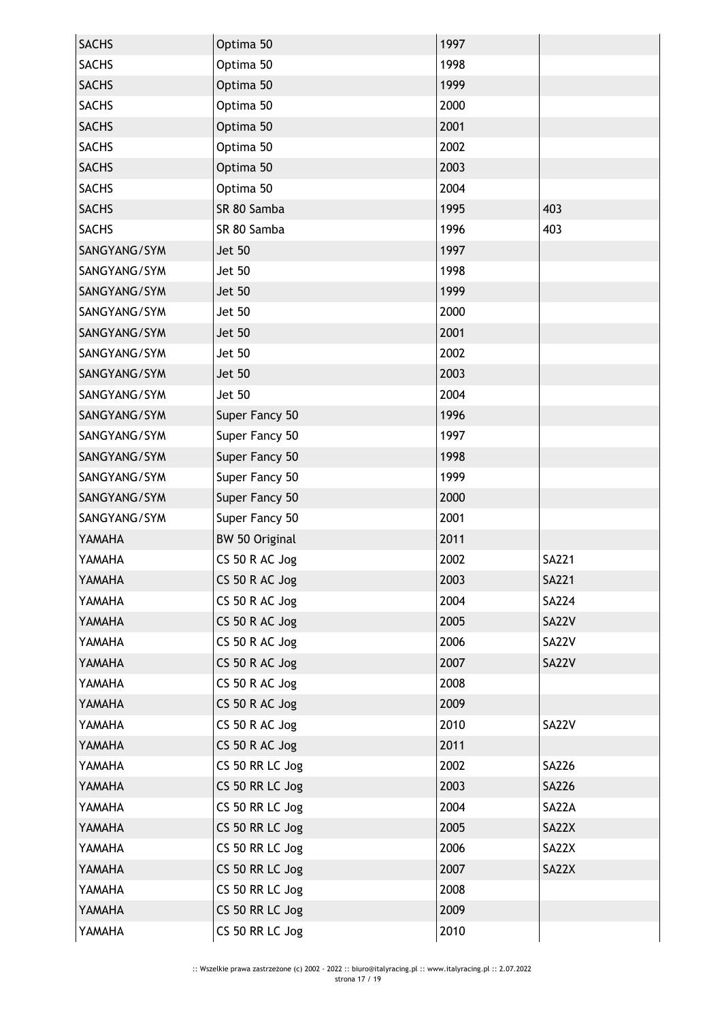| Optima 50       | 1997 |              |
|-----------------|------|--------------|
| Optima 50       | 1998 |              |
| Optima 50       | 1999 |              |
| Optima 50       | 2000 |              |
| Optima 50       | 2001 |              |
| Optima 50       | 2002 |              |
| Optima 50       | 2003 |              |
| Optima 50       | 2004 |              |
| SR 80 Samba     | 1995 | 403          |
| SR 80 Samba     | 1996 | 403          |
| <b>Jet 50</b>   | 1997 |              |
| <b>Jet 50</b>   | 1998 |              |
| <b>Jet 50</b>   | 1999 |              |
| <b>Jet 50</b>   | 2000 |              |
| <b>Jet 50</b>   | 2001 |              |
| Jet 50          | 2002 |              |
| <b>Jet 50</b>   | 2003 |              |
| <b>Jet 50</b>   | 2004 |              |
| Super Fancy 50  | 1996 |              |
| Super Fancy 50  | 1997 |              |
| Super Fancy 50  | 1998 |              |
| Super Fancy 50  | 1999 |              |
| Super Fancy 50  | 2000 |              |
| Super Fancy 50  | 2001 |              |
| BW 50 Original  | 2011 |              |
| CS 50 R AC Jog  | 2002 | <b>SA221</b> |
| CS 50 R AC Jog  | 2003 | SA221        |
| CS 50 R AC Jog  | 2004 | <b>SA224</b> |
| CS 50 R AC Jog  | 2005 | <b>SA22V</b> |
| CS 50 R AC Jog  | 2006 | SA22V        |
| CS 50 R AC Jog  | 2007 | <b>SA22V</b> |
| CS 50 R AC Jog  | 2008 |              |
| CS 50 R AC Jog  | 2009 |              |
| CS 50 R AC Jog  | 2010 | SA22V        |
| CS 50 R AC Jog  | 2011 |              |
| CS 50 RR LC Jog | 2002 | SA226        |
| CS 50 RR LC Jog | 2003 | <b>SA226</b> |
| CS 50 RR LC Jog | 2004 | SA22A        |
| CS 50 RR LC Jog | 2005 | SA22X        |
|                 |      |              |
| CS 50 RR LC Jog | 2006 | SA22X        |
| CS 50 RR LC Jog | 2007 | SA22X        |
| CS 50 RR LC Jog | 2008 |              |
| CS 50 RR LC Jog | 2009 |              |
|                 |      |              |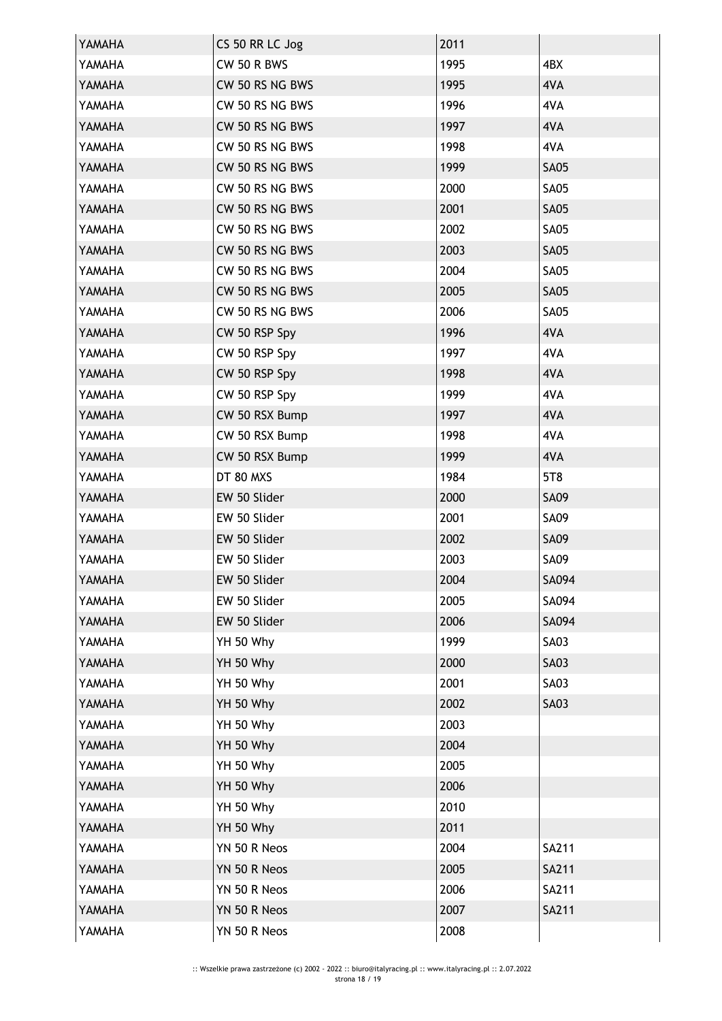| YAMAHA | CS 50 RR LC Jog | 2011 |              |
|--------|-----------------|------|--------------|
| YAMAHA | CW 50 R BWS     | 1995 | 4BX          |
| YAMAHA | CW 50 RS NG BWS | 1995 | 4VA          |
| YAMAHA | CW 50 RS NG BWS | 1996 | 4VA          |
| YAMAHA | CW 50 RS NG BWS | 1997 | 4VA          |
| YAMAHA | CW 50 RS NG BWS | 1998 | 4VA          |
| YAMAHA | CW 50 RS NG BWS | 1999 | <b>SA05</b>  |
| YAMAHA | CW 50 RS NG BWS | 2000 | <b>SA05</b>  |
| YAMAHA | CW 50 RS NG BWS | 2001 | <b>SA05</b>  |
| YAMAHA | CW 50 RS NG BWS | 2002 | <b>SA05</b>  |
| YAMAHA | CW 50 RS NG BWS | 2003 | <b>SA05</b>  |
| YAMAHA | CW 50 RS NG BWS | 2004 | <b>SA05</b>  |
| YAMAHA | CW 50 RS NG BWS | 2005 | <b>SA05</b>  |
| YAMAHA | CW 50 RS NG BWS | 2006 | <b>SA05</b>  |
| YAMAHA | CW 50 RSP Spy   | 1996 | 4VA          |
| YAMAHA | CW 50 RSP Spy   | 1997 | 4VA          |
| YAMAHA | CW 50 RSP Spy   | 1998 | 4VA          |
| YAMAHA | CW 50 RSP Spy   | 1999 | 4VA          |
| YAMAHA | CW 50 RSX Bump  | 1997 | 4VA          |
| YAMAHA | CW 50 RSX Bump  | 1998 | 4VA          |
| YAMAHA | CW 50 RSX Bump  | 1999 | 4VA          |
| YAMAHA | DT 80 MXS       | 1984 | 5T8          |
| YAMAHA | EW 50 Slider    | 2000 | <b>SA09</b>  |
| YAMAHA | EW 50 Slider    | 2001 | <b>SA09</b>  |
| YAMAHA | EW 50 Slider    | 2002 | <b>SA09</b>  |
| YAMAHA | EW 50 Slider    | 2003 | <b>SA09</b>  |
| YAMAHA | EW 50 Slider    | 2004 | SA094        |
| YAMAHA | EW 50 Slider    | 2005 | SA094        |
| YAMAHA | EW 50 Slider    | 2006 | SA094        |
| YAMAHA | YH 50 Why       | 1999 | <b>SA03</b>  |
| YAMAHA | YH 50 Why       | 2000 | <b>SA03</b>  |
| YAMAHA | YH 50 Why       | 2001 | <b>SA03</b>  |
| YAMAHA | YH 50 Why       | 2002 | <b>SA03</b>  |
| YAMAHA | YH 50 Why       | 2003 |              |
| YAMAHA | YH 50 Why       | 2004 |              |
| YAMAHA | YH 50 Why       | 2005 |              |
| YAMAHA | YH 50 Why       | 2006 |              |
| YAMAHA | YH 50 Why       | 2010 |              |
| YAMAHA | YH 50 Why       | 2011 |              |
| YAMAHA | YN 50 R Neos    | 2004 | SA211        |
| YAMAHA | YN 50 R Neos    | 2005 | <b>SA211</b> |
| YAMAHA | YN 50 R Neos    | 2006 | SA211        |
| YAMAHA | YN 50 R Neos    | 2007 | <b>SA211</b> |
| YAMAHA | YN 50 R Neos    | 2008 |              |